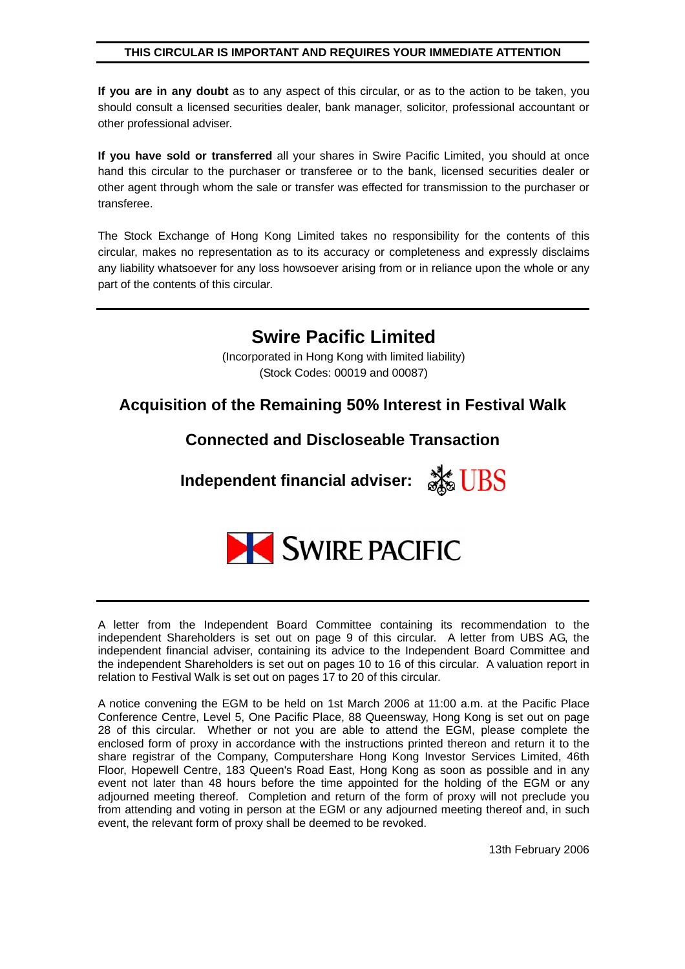#### **THIS CIRCULAR IS IMPORTANT AND REQUIRES YOUR IMMEDIATE ATTENTION**

**If you are in any doubt** as to any aspect of this circular, or as to the action to be taken, you should consult a licensed securities dealer, bank manager, solicitor, professional accountant or other professional adviser.

**If you have sold or transferred** all your shares in Swire Pacific Limited, you should at once hand this circular to the purchaser or transferee or to the bank, licensed securities dealer or other agent through whom the sale or transfer was effected for transmission to the purchaser or transferee.

The Stock Exchange of Hong Kong Limited takes no responsibility for the contents of this circular, makes no representation as to its accuracy or completeness and expressly disclaims any liability whatsoever for any loss howsoever arising from or in reliance upon the whole or any part of the contents of this circular.

# **Swire Pacific Limited**

(Incorporated in Hong Kong with limited liability) (Stock Codes: 00019 and 00087)

## **Acquisition of the Remaining 50% Interest in Festival Walk**

## **Connected and Discloseable Transaction**

**Independent financial adviser:** 



A letter from the Independent Board Committee containing its recommendation to the independent Shareholders is set out on page 9 of this circular. A letter from UBS AG, the independent financial adviser, containing its advice to the Independent Board Committee and the independent Shareholders is set out on pages 10 to 16 of this circular. A valuation report in relation to Festival Walk is set out on pages 17 to 20 of this circular.

A notice convening the EGM to be held on 1st March 2006 at 11:00 a.m. at the Pacific Place Conference Centre, Level 5, One Pacific Place, 88 Queensway, Hong Kong is set out on page 28 of this circular. Whether or not you are able to attend the EGM, please complete the enclosed form of proxy in accordance with the instructions printed thereon and return it to the share registrar of the Company, Computershare Hong Kong Investor Services Limited, 46th Floor, Hopewell Centre, 183 Queen's Road East, Hong Kong as soon as possible and in any event not later than 48 hours before the time appointed for the holding of the EGM or any adjourned meeting thereof. Completion and return of the form of proxy will not preclude you from attending and voting in person at the EGM or any adjourned meeting thereof and, in such event, the relevant form of proxy shall be deemed to be revoked.

13th February 2006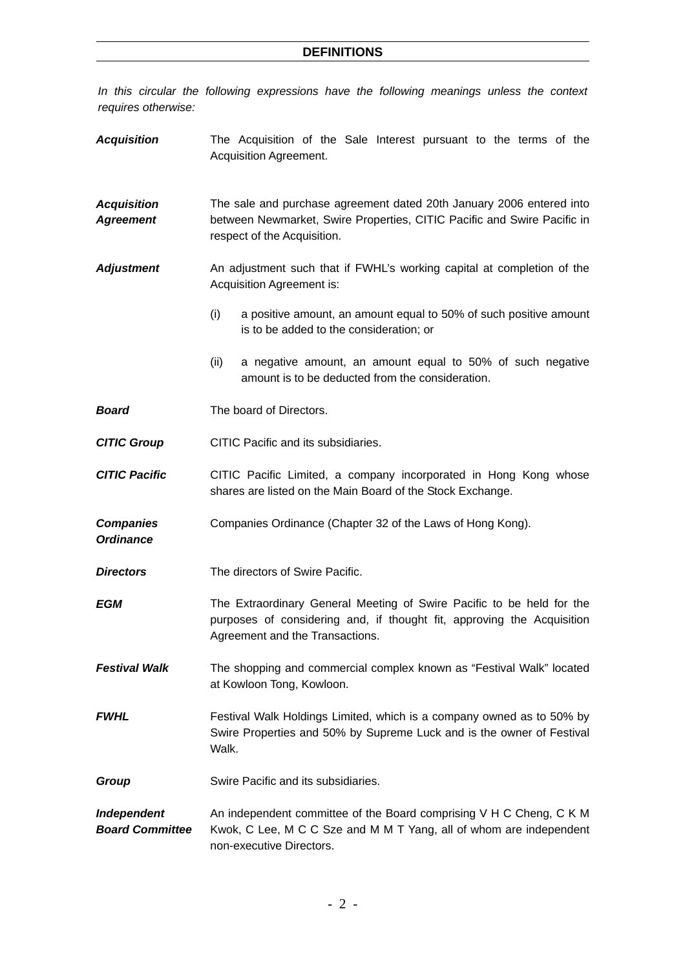*In this circular the following expressions have the following meanings unless the context requires otherwise:* 

*Acquisition* The Acquisition of the Sale Interest pursuant to the terms of the Acquisition Agreement. *Acquisition Agreement*  The sale and purchase agreement dated 20th January 2006 entered into between Newmarket, Swire Properties, CITIC Pacific and Swire Pacific in respect of the Acquisition. *Adjustment* An adjustment such that if FWHL's working capital at completion of the Acquisition Agreement is: (i) a positive amount, an amount equal to 50% of such positive amount is to be added to the consideration; or (ii) a negative amount, an amount equal to 50% of such negative amount is to be deducted from the consideration. **Board The board of Directors.** *CITIC Group* CITIC Pacific and its subsidiaries. **CITIC Pacific** CITIC Pacific Limited, a company incorporated in Hong Kong whose shares are listed on the Main Board of the Stock Exchange. *Companies Ordinance*  Companies Ordinance (Chapter 32 of the Laws of Hong Kong). **Directors** The directors of Swire Pacific. **EGM** The Extraordinary General Meeting of Swire Pacific to be held for the purposes of considering and, if thought fit, approving the Acquisition Agreement and the Transactions. **Festival Walk** The shopping and commercial complex known as "Festival Walk" located at Kowloon Tong, Kowloon. *FWHL* Festival Walk Holdings Limited, which is a company owned as to 50% by Swire Properties and 50% by Supreme Luck and is the owner of Festival Walk. **Group Swire Pacific and its subsidiaries.** *Independent Board Committee*  An independent committee of the Board comprising V H C Cheng, C K M Kwok, C Lee, M C C Sze and M M T Yang, all of whom are independent non-executive Directors.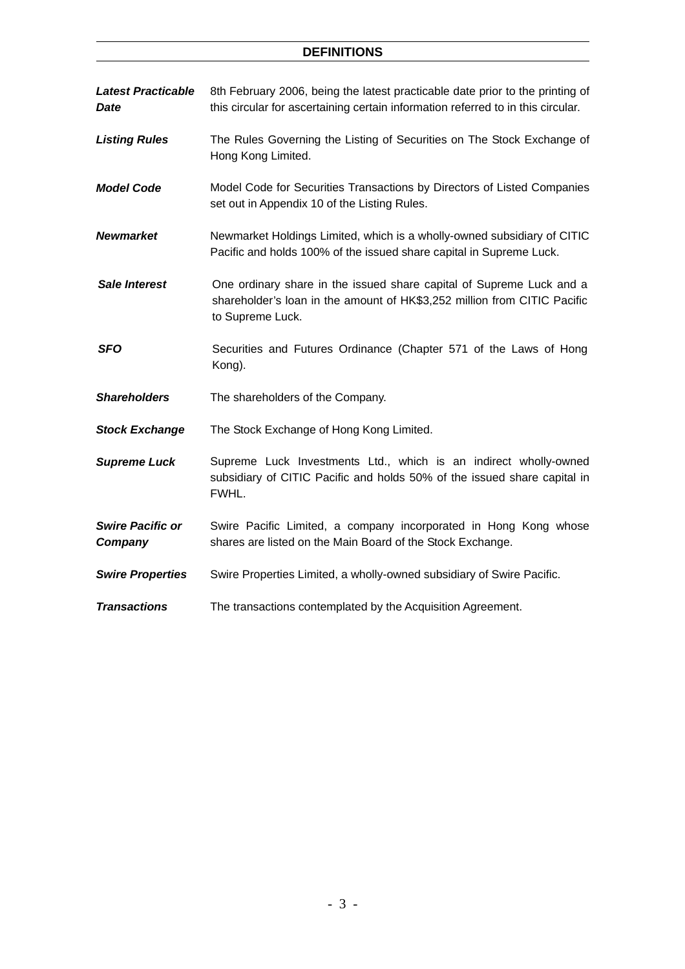## **DEFINITIONS**

| <b>Latest Practicable</b><br>Date  | 8th February 2006, being the latest practicable date prior to the printing of<br>this circular for ascertaining certain information referred to in this circular.    |
|------------------------------------|----------------------------------------------------------------------------------------------------------------------------------------------------------------------|
| <b>Listing Rules</b>               | The Rules Governing the Listing of Securities on The Stock Exchange of<br>Hong Kong Limited.                                                                         |
| <b>Model Code</b>                  | Model Code for Securities Transactions by Directors of Listed Companies<br>set out in Appendix 10 of the Listing Rules.                                              |
| <b>Newmarket</b>                   | Newmarket Holdings Limited, which is a wholly-owned subsidiary of CITIC<br>Pacific and holds 100% of the issued share capital in Supreme Luck.                       |
| <b>Sale Interest</b>               | One ordinary share in the issued share capital of Supreme Luck and a<br>shareholder's loan in the amount of HK\$3,252 million from CITIC Pacific<br>to Supreme Luck. |
| <b>SFO</b>                         | Securities and Futures Ordinance (Chapter 571 of the Laws of Hong<br>Kong).                                                                                          |
| <b>Shareholders</b>                | The shareholders of the Company.                                                                                                                                     |
| <b>Stock Exchange</b>              | The Stock Exchange of Hong Kong Limited.                                                                                                                             |
| <b>Supreme Luck</b>                | Supreme Luck Investments Ltd., which is an indirect wholly-owned<br>subsidiary of CITIC Pacific and holds 50% of the issued share capital in<br>FWHL.                |
| <b>Swire Pacific or</b><br>Company | Swire Pacific Limited, a company incorporated in Hong Kong whose<br>shares are listed on the Main Board of the Stock Exchange.                                       |
| <b>Swire Properties</b>            | Swire Properties Limited, a wholly-owned subsidiary of Swire Pacific.                                                                                                |
| <b>Transactions</b>                | The transactions contemplated by the Acquisition Agreement.                                                                                                          |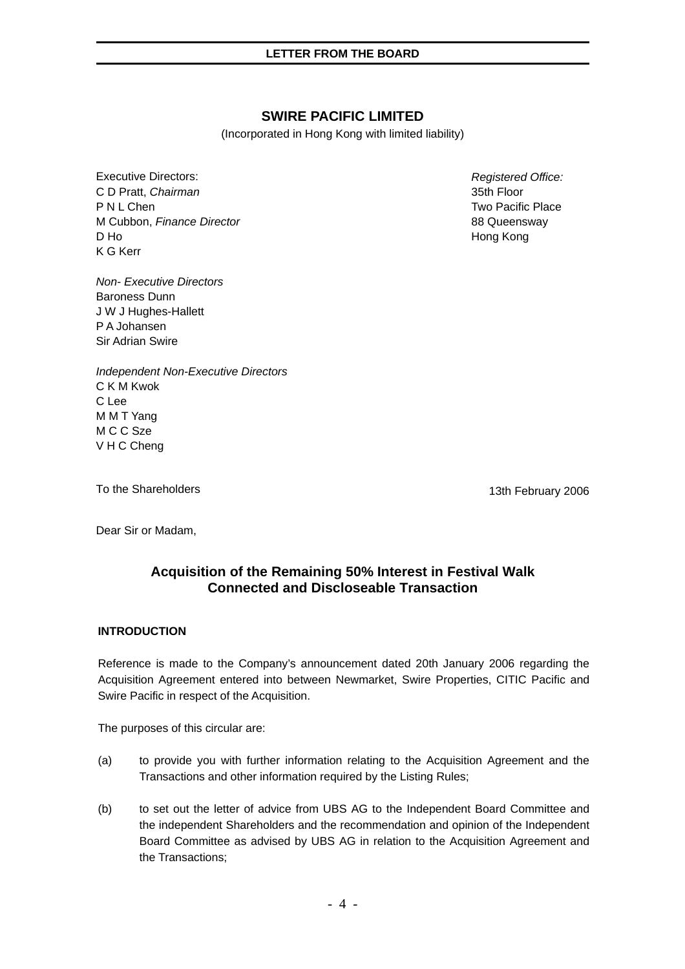## **SWIRE PACIFIC LIMITED**

(Incorporated in Hong Kong with limited liability)

Executive Directors: C D Pratt, *Chairman* P N L Chen M Cubbon, *Finance Director* D Ho K G Kerr

*Non- Executive Directors*  Baroness Dunn J W J Hughes-Hallett P A Johansen Sir Adrian Swire

*Independent Non-Executive Directors*  C K M Kwok C Lee M M T Yang M C C Sze V H C Cheng

To the Shareholders

13th February 2006

Dear Sir or Madam,

## **Acquisition of the Remaining 50% Interest in Festival Walk Connected and Discloseable Transaction**

#### **INTRODUCTION**

Reference is made to the Company's announcement dated 20th January 2006 regarding the Acquisition Agreement entered into between Newmarket, Swire Properties, CITIC Pacific and Swire Pacific in respect of the Acquisition.

The purposes of this circular are:

- (a) to provide you with further information relating to the Acquisition Agreement and the Transactions and other information required by the Listing Rules;
- (b) to set out the letter of advice from UBS AG to the Independent Board Committee and the independent Shareholders and the recommendation and opinion of the Independent Board Committee as advised by UBS AG in relation to the Acquisition Agreement and the Transactions;

*Registered Office:*  35th Floor Two Pacific Place 88 Queensway Hong Kong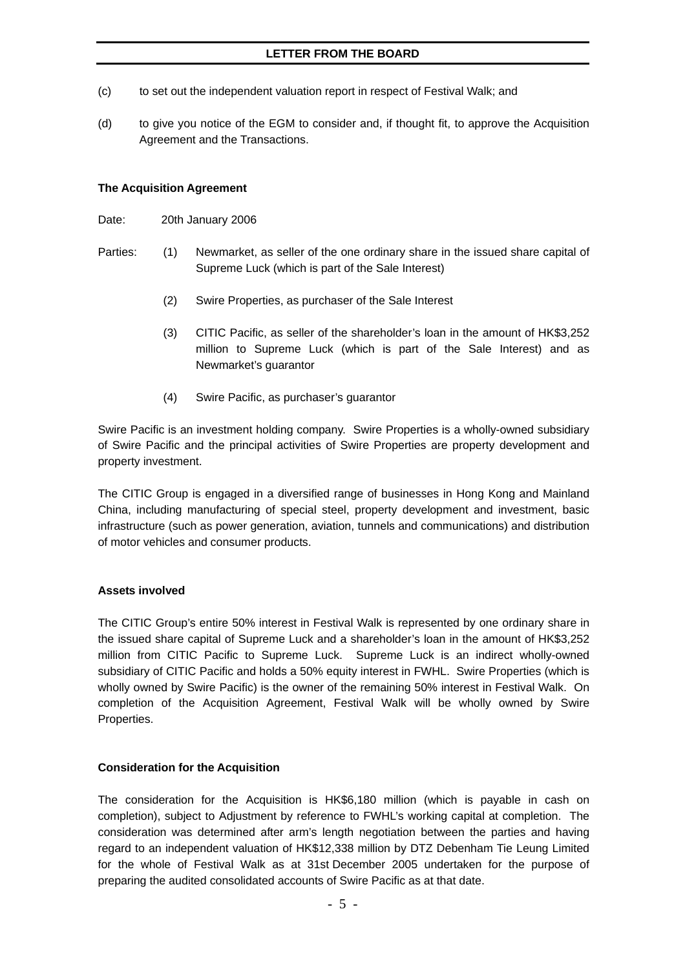- (c) to set out the independent valuation report in respect of Festival Walk; and
- (d) to give you notice of the EGM to consider and, if thought fit, to approve the Acquisition Agreement and the Transactions.

#### **The Acquisition Agreement**

- Date: 20th January 2006
- Parties: (1) Newmarket, as seller of the one ordinary share in the issued share capital of Supreme Luck (which is part of the Sale Interest)
	- (2) Swire Properties, as purchaser of the Sale Interest
	- (3) CITIC Pacific, as seller of the shareholder's loan in the amount of HK\$3,252 million to Supreme Luck (which is part of the Sale Interest) and as Newmarket's guarantor
	- (4) Swire Pacific, as purchaser's guarantor

Swire Pacific is an investment holding company. Swire Properties is a wholly-owned subsidiary of Swire Pacific and the principal activities of Swire Properties are property development and property investment.

The CITIC Group is engaged in a diversified range of businesses in Hong Kong and Mainland China, including manufacturing of special steel, property development and investment, basic infrastructure (such as power generation, aviation, tunnels and communications) and distribution of motor vehicles and consumer products.

#### **Assets involved**

The CITIC Group's entire 50% interest in Festival Walk is represented by one ordinary share in the issued share capital of Supreme Luck and a shareholder's loan in the amount of HK\$3,252 million from CITIC Pacific to Supreme Luck. Supreme Luck is an indirect wholly-owned subsidiary of CITIC Pacific and holds a 50% equity interest in FWHL. Swire Properties (which is wholly owned by Swire Pacific) is the owner of the remaining 50% interest in Festival Walk. On completion of the Acquisition Agreement, Festival Walk will be wholly owned by Swire Properties.

#### **Consideration for the Acquisition**

The consideration for the Acquisition is HK\$6,180 million (which is payable in cash on completion), subject to Adjustment by reference to FWHL's working capital at completion. The consideration was determined after arm's length negotiation between the parties and having regard to an independent valuation of HK\$12,338 million by DTZ Debenham Tie Leung Limited for the whole of Festival Walk as at 31st December 2005 undertaken for the purpose of preparing the audited consolidated accounts of Swire Pacific as at that date.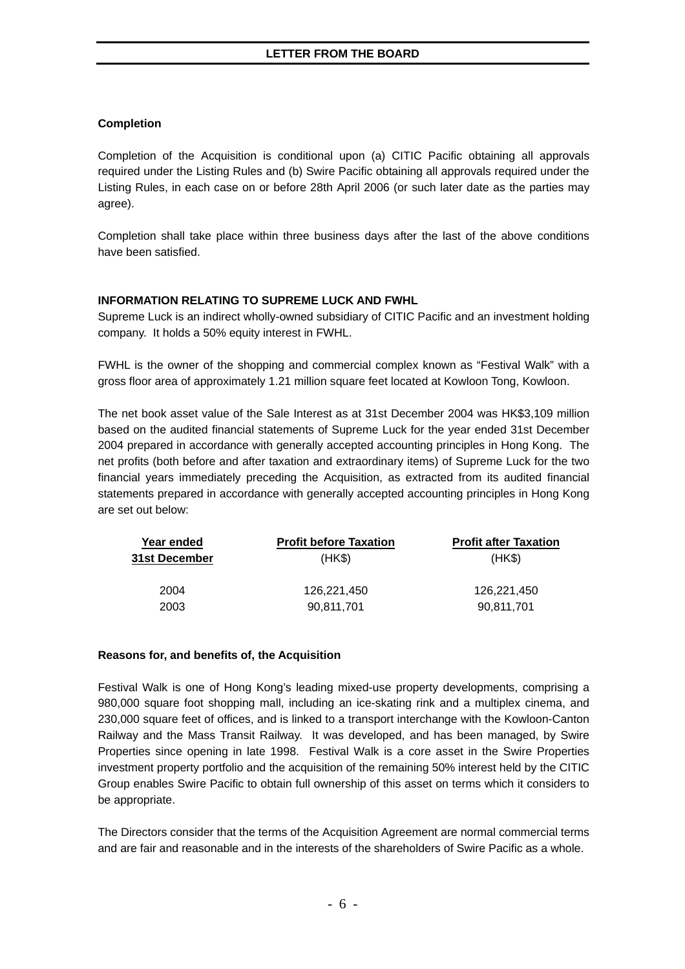### **Completion**

Completion of the Acquisition is conditional upon (a) CITIC Pacific obtaining all approvals required under the Listing Rules and (b) Swire Pacific obtaining all approvals required under the Listing Rules, in each case on or before 28th April 2006 (or such later date as the parties may agree).

Completion shall take place within three business days after the last of the above conditions have been satisfied.

### **INFORMATION RELATING TO SUPREME LUCK AND FWHL**

Supreme Luck is an indirect wholly-owned subsidiary of CITIC Pacific and an investment holding company. It holds a 50% equity interest in FWHL.

FWHL is the owner of the shopping and commercial complex known as "Festival Walk" with a gross floor area of approximately 1.21 million square feet located at Kowloon Tong, Kowloon.

The net book asset value of the Sale Interest as at 31st December 2004 was HK\$3,109 million based on the audited financial statements of Supreme Luck for the year ended 31st December 2004 prepared in accordance with generally accepted accounting principles in Hong Kong. The net profits (both before and after taxation and extraordinary items) of Supreme Luck for the two financial years immediately preceding the Acquisition, as extracted from its audited financial statements prepared in accordance with generally accepted accounting principles in Hong Kong are set out below:

| Year ended           | <b>Profit before Taxation</b> | <b>Profit after Taxation</b> |
|----------------------|-------------------------------|------------------------------|
| <b>31st December</b> | (HK\$)                        | (HK\$)                       |
| 2004                 | 126.221.450                   | 126.221.450                  |
| 2003                 | 90.811.701                    | 90.811.701                   |

#### **Reasons for, and benefits of, the Acquisition**

Festival Walk is one of Hong Kong's leading mixed-use property developments, comprising a 980,000 square foot shopping mall, including an ice-skating rink and a multiplex cinema, and 230,000 square feet of offices, and is linked to a transport interchange with the Kowloon-Canton Railway and the Mass Transit Railway. It was developed, and has been managed, by Swire Properties since opening in late 1998. Festival Walk is a core asset in the Swire Properties investment property portfolio and the acquisition of the remaining 50% interest held by the CITIC Group enables Swire Pacific to obtain full ownership of this asset on terms which it considers to be appropriate.

The Directors consider that the terms of the Acquisition Agreement are normal commercial terms and are fair and reasonable and in the interests of the shareholders of Swire Pacific as a whole.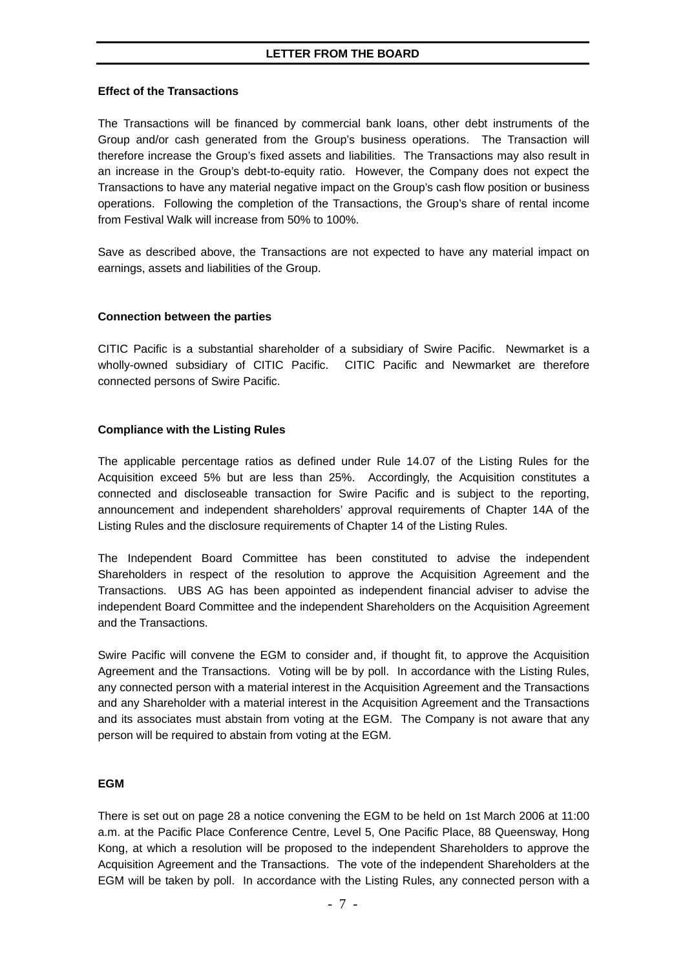#### **Effect of the Transactions**

The Transactions will be financed by commercial bank loans, other debt instruments of the Group and/or cash generated from the Group's business operations. The Transaction will therefore increase the Group's fixed assets and liabilities. The Transactions may also result in an increase in the Group's debt-to-equity ratio. However, the Company does not expect the Transactions to have any material negative impact on the Group's cash flow position or business operations. Following the completion of the Transactions, the Group's share of rental income from Festival Walk will increase from 50% to 100%.

Save as described above, the Transactions are not expected to have any material impact on earnings, assets and liabilities of the Group.

#### **Connection between the parties**

CITIC Pacific is a substantial shareholder of a subsidiary of Swire Pacific. Newmarket is a wholly-owned subsidiary of CITIC Pacific. CITIC Pacific and Newmarket are therefore connected persons of Swire Pacific.

#### **Compliance with the Listing Rules**

The applicable percentage ratios as defined under Rule 14.07 of the Listing Rules for the Acquisition exceed 5% but are less than 25%. Accordingly, the Acquisition constitutes a connected and discloseable transaction for Swire Pacific and is subject to the reporting, announcement and independent shareholders' approval requirements of Chapter 14A of the Listing Rules and the disclosure requirements of Chapter 14 of the Listing Rules.

The Independent Board Committee has been constituted to advise the independent Shareholders in respect of the resolution to approve the Acquisition Agreement and the Transactions. UBS AG has been appointed as independent financial adviser to advise the independent Board Committee and the independent Shareholders on the Acquisition Agreement and the Transactions.

Swire Pacific will convene the EGM to consider and, if thought fit, to approve the Acquisition Agreement and the Transactions. Voting will be by poll. In accordance with the Listing Rules, any connected person with a material interest in the Acquisition Agreement and the Transactions and any Shareholder with a material interest in the Acquisition Agreement and the Transactions and its associates must abstain from voting at the EGM. The Company is not aware that any person will be required to abstain from voting at the EGM.

#### **EGM**

There is set out on page 28 a notice convening the EGM to be held on 1st March 2006 at 11:00 a.m. at the Pacific Place Conference Centre, Level 5, One Pacific Place, 88 Queensway, Hong Kong, at which a resolution will be proposed to the independent Shareholders to approve the Acquisition Agreement and the Transactions. The vote of the independent Shareholders at the EGM will be taken by poll. In accordance with the Listing Rules, any connected person with a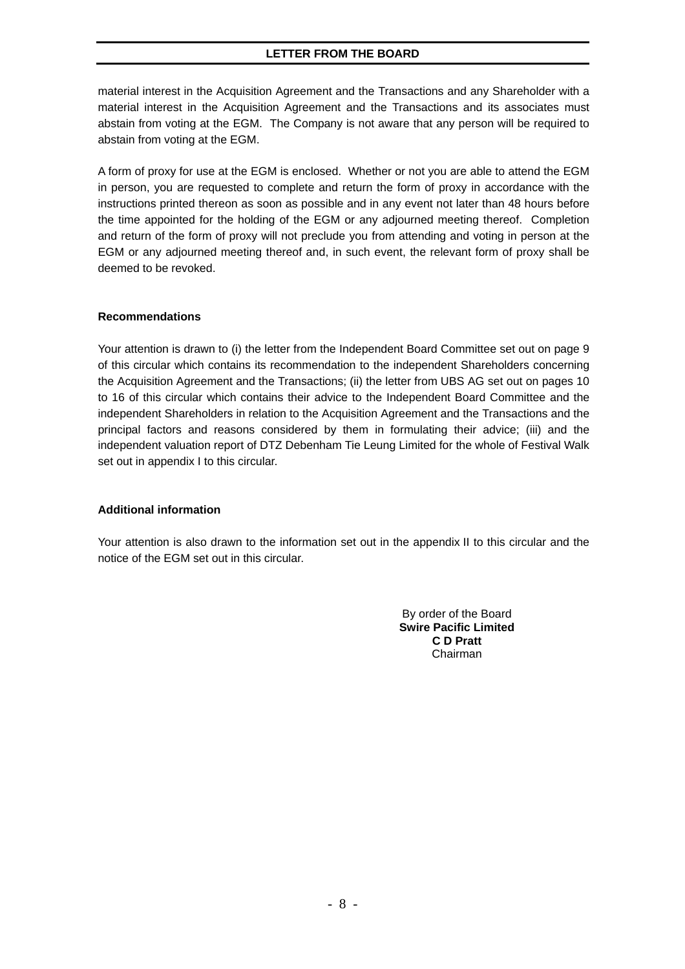### **LETTER FROM THE BOARD**

material interest in the Acquisition Agreement and the Transactions and any Shareholder with a material interest in the Acquisition Agreement and the Transactions and its associates must abstain from voting at the EGM. The Company is not aware that any person will be required to abstain from voting at the EGM.

A form of proxy for use at the EGM is enclosed. Whether or not you are able to attend the EGM in person, you are requested to complete and return the form of proxy in accordance with the instructions printed thereon as soon as possible and in any event not later than 48 hours before the time appointed for the holding of the EGM or any adjourned meeting thereof. Completion and return of the form of proxy will not preclude you from attending and voting in person at the EGM or any adjourned meeting thereof and, in such event, the relevant form of proxy shall be deemed to be revoked.

#### **Recommendations**

Your attention is drawn to (i) the letter from the Independent Board Committee set out on page 9 of this circular which contains its recommendation to the independent Shareholders concerning the Acquisition Agreement and the Transactions; (ii) the letter from UBS AG set out on pages 10 to 16 of this circular which contains their advice to the Independent Board Committee and the independent Shareholders in relation to the Acquisition Agreement and the Transactions and the principal factors and reasons considered by them in formulating their advice; (iii) and the independent valuation report of DTZ Debenham Tie Leung Limited for the whole of Festival Walk set out in appendix I to this circular.

#### **Additional information**

Your attention is also drawn to the information set out in the appendix II to this circular and the notice of the EGM set out in this circular.

> By order of the Board **Swire Pacific Limited C D Pratt** Chairman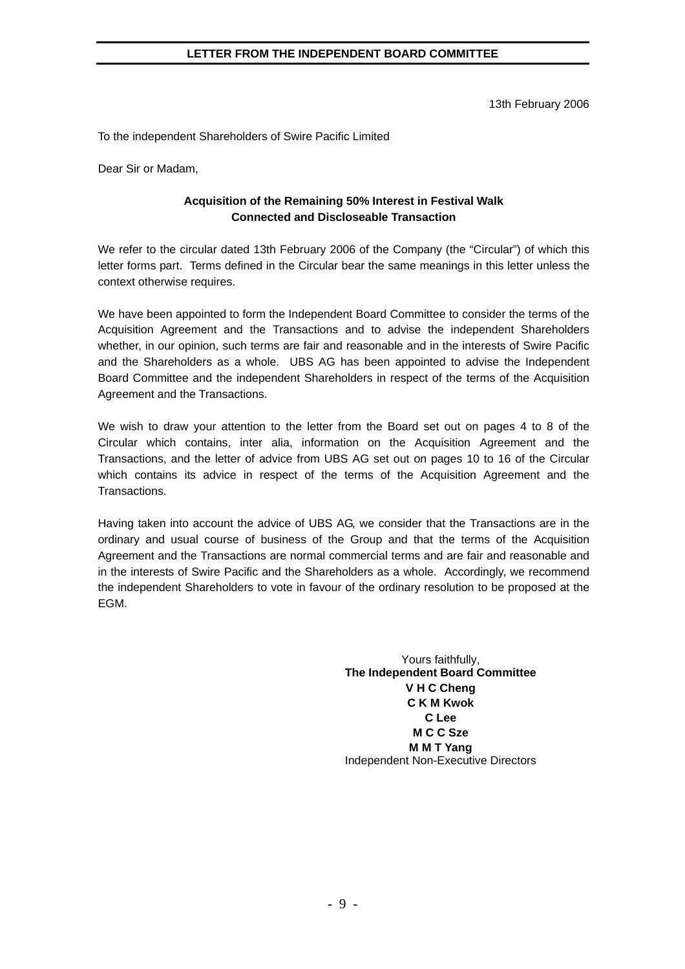#### **LETTER FROM THE INDEPENDENT BOARD COMMITTEE**

13th February 2006

To the independent Shareholders of Swire Pacific Limited

Dear Sir or Madam,

#### **Acquisition of the Remaining 50% Interest in Festival Walk Connected and Discloseable Transaction**

We refer to the circular dated 13th February 2006 of the Company (the "Circular") of which this letter forms part. Terms defined in the Circular bear the same meanings in this letter unless the context otherwise requires.

We have been appointed to form the Independent Board Committee to consider the terms of the Acquisition Agreement and the Transactions and to advise the independent Shareholders whether, in our opinion, such terms are fair and reasonable and in the interests of Swire Pacific and the Shareholders as a whole. UBS AG has been appointed to advise the Independent Board Committee and the independent Shareholders in respect of the terms of the Acquisition Agreement and the Transactions.

We wish to draw your attention to the letter from the Board set out on pages 4 to 8 of the Circular which contains, inter alia, information on the Acquisition Agreement and the Transactions, and the letter of advice from UBS AG set out on pages 10 to 16 of the Circular which contains its advice in respect of the terms of the Acquisition Agreement and the Transactions.

Having taken into account the advice of UBS AG, we consider that the Transactions are in the ordinary and usual course of business of the Group and that the terms of the Acquisition Agreement and the Transactions are normal commercial terms and are fair and reasonable and in the interests of Swire Pacific and the Shareholders as a whole. Accordingly, we recommend the independent Shareholders to vote in favour of the ordinary resolution to be proposed at the EGM.

> Yours faithfully, **The Independent Board Committee V H C Cheng C K M Kwok C Lee M C C Sze M M T Yang**  Independent Non-Executive Directors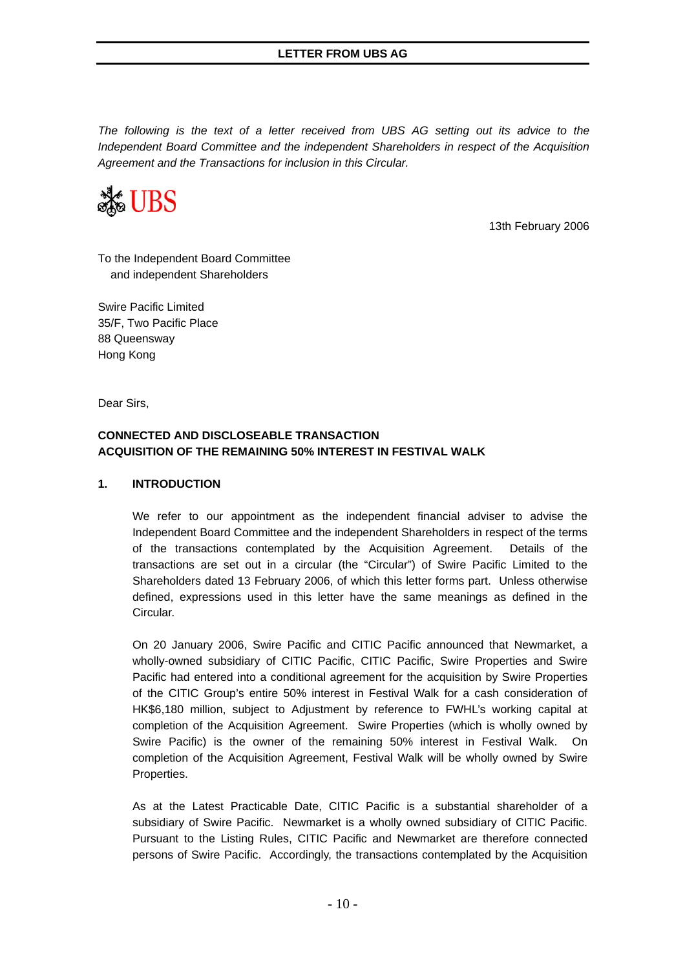*The following is the text of a letter received from UBS AG setting out its advice to the Independent Board Committee and the independent Shareholders in respect of the Acquisition Agreement and the Transactions for inclusion in this Circular.* 



13th February 2006

To the Independent Board Committee and independent Shareholders

Swire Pacific Limited 35/F, Two Pacific Place 88 Queensway Hong Kong

Dear Sirs,

### **CONNECTED AND DISCLOSEABLE TRANSACTION ACQUISITION OF THE REMAINING 50% INTEREST IN FESTIVAL WALK**

### **1. INTRODUCTION**

We refer to our appointment as the independent financial adviser to advise the Independent Board Committee and the independent Shareholders in respect of the terms of the transactions contemplated by the Acquisition Agreement. Details of the transactions are set out in a circular (the "Circular") of Swire Pacific Limited to the Shareholders dated 13 February 2006, of which this letter forms part. Unless otherwise defined, expressions used in this letter have the same meanings as defined in the Circular.

On 20 January 2006, Swire Pacific and CITIC Pacific announced that Newmarket, a wholly-owned subsidiary of CITIC Pacific, CITIC Pacific, Swire Properties and Swire Pacific had entered into a conditional agreement for the acquisition by Swire Properties of the CITIC Group's entire 50% interest in Festival Walk for a cash consideration of HK\$6,180 million, subject to Adjustment by reference to FWHL's working capital at completion of the Acquisition Agreement. Swire Properties (which is wholly owned by Swire Pacific) is the owner of the remaining 50% interest in Festival Walk. On completion of the Acquisition Agreement, Festival Walk will be wholly owned by Swire Properties.

As at the Latest Practicable Date, CITIC Pacific is a substantial shareholder of a subsidiary of Swire Pacific. Newmarket is a wholly owned subsidiary of CITIC Pacific. Pursuant to the Listing Rules, CITIC Pacific and Newmarket are therefore connected persons of Swire Pacific. Accordingly, the transactions contemplated by the Acquisition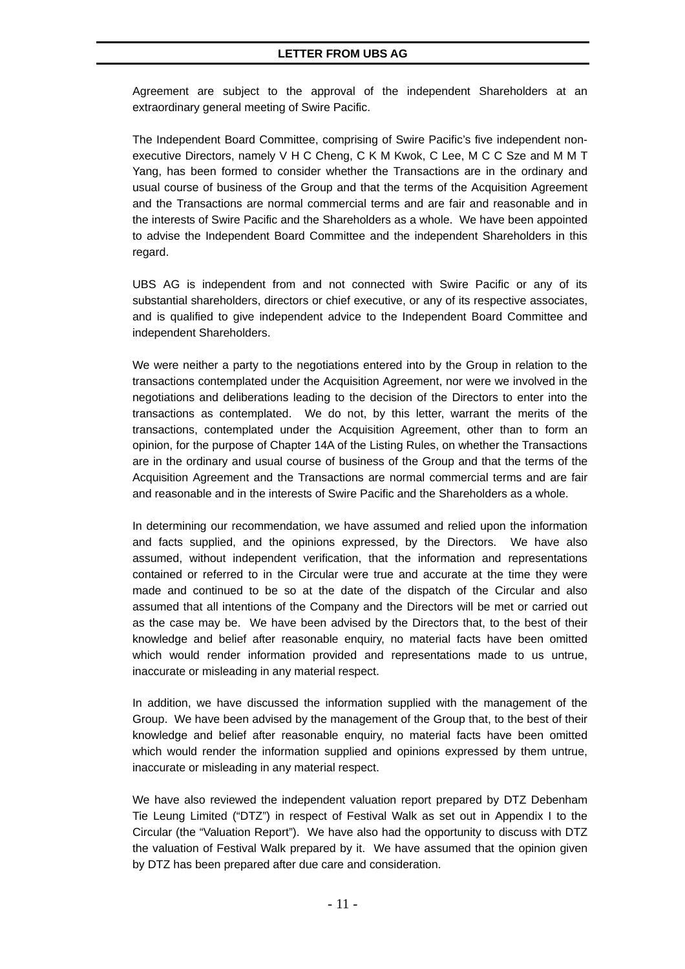Agreement are subject to the approval of the independent Shareholders at an extraordinary general meeting of Swire Pacific.

The Independent Board Committee, comprising of Swire Pacific's five independent nonexecutive Directors, namely V H C Cheng, C K M Kwok, C Lee, M C C Sze and M M T Yang, has been formed to consider whether the Transactions are in the ordinary and usual course of business of the Group and that the terms of the Acquisition Agreement and the Transactions are normal commercial terms and are fair and reasonable and in the interests of Swire Pacific and the Shareholders as a whole. We have been appointed to advise the Independent Board Committee and the independent Shareholders in this regard.

UBS AG is independent from and not connected with Swire Pacific or any of its substantial shareholders, directors or chief executive, or any of its respective associates, and is qualified to give independent advice to the Independent Board Committee and independent Shareholders.

We were neither a party to the negotiations entered into by the Group in relation to the transactions contemplated under the Acquisition Agreement, nor were we involved in the negotiations and deliberations leading to the decision of the Directors to enter into the transactions as contemplated. We do not, by this letter, warrant the merits of the transactions, contemplated under the Acquisition Agreement, other than to form an opinion, for the purpose of Chapter 14A of the Listing Rules, on whether the Transactions are in the ordinary and usual course of business of the Group and that the terms of the Acquisition Agreement and the Transactions are normal commercial terms and are fair and reasonable and in the interests of Swire Pacific and the Shareholders as a whole.

In determining our recommendation, we have assumed and relied upon the information and facts supplied, and the opinions expressed, by the Directors. We have also assumed, without independent verification, that the information and representations contained or referred to in the Circular were true and accurate at the time they were made and continued to be so at the date of the dispatch of the Circular and also assumed that all intentions of the Company and the Directors will be met or carried out as the case may be. We have been advised by the Directors that, to the best of their knowledge and belief after reasonable enquiry, no material facts have been omitted which would render information provided and representations made to us untrue, inaccurate or misleading in any material respect.

In addition, we have discussed the information supplied with the management of the Group. We have been advised by the management of the Group that, to the best of their knowledge and belief after reasonable enquiry, no material facts have been omitted which would render the information supplied and opinions expressed by them untrue, inaccurate or misleading in any material respect.

We have also reviewed the independent valuation report prepared by DTZ Debenham Tie Leung Limited ("DTZ") in respect of Festival Walk as set out in Appendix I to the Circular (the "Valuation Report"). We have also had the opportunity to discuss with DTZ the valuation of Festival Walk prepared by it. We have assumed that the opinion given by DTZ has been prepared after due care and consideration.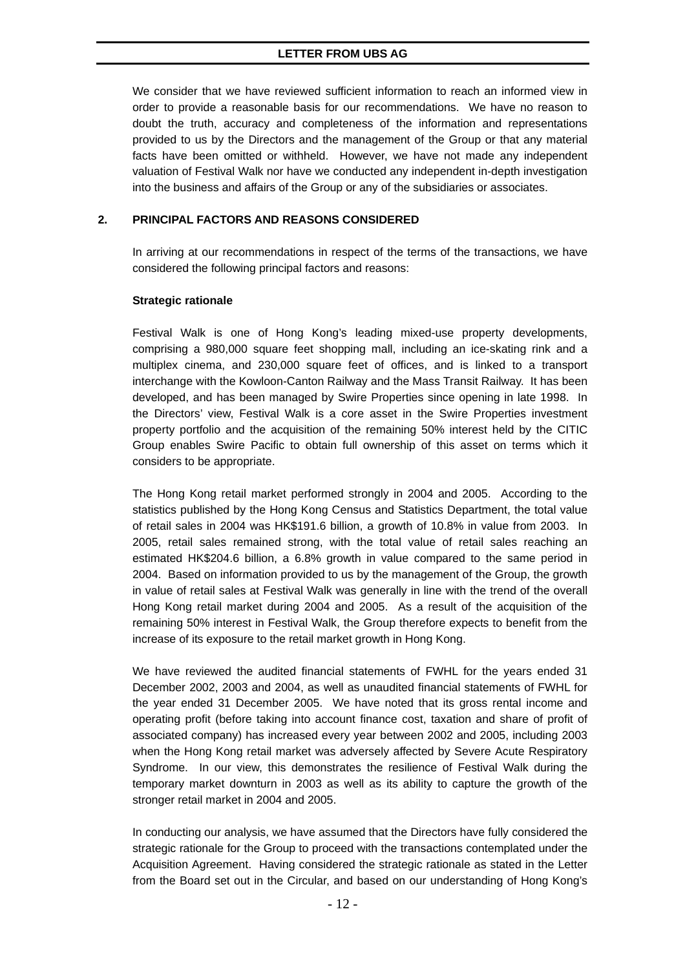We consider that we have reviewed sufficient information to reach an informed view in order to provide a reasonable basis for our recommendations. We have no reason to doubt the truth, accuracy and completeness of the information and representations provided to us by the Directors and the management of the Group or that any material facts have been omitted or withheld. However, we have not made any independent valuation of Festival Walk nor have we conducted any independent in-depth investigation into the business and affairs of the Group or any of the subsidiaries or associates.

#### **2. PRINCIPAL FACTORS AND REASONS CONSIDERED**

In arriving at our recommendations in respect of the terms of the transactions, we have considered the following principal factors and reasons:

#### **Strategic rationale**

Festival Walk is one of Hong Kong's leading mixed-use property developments, comprising a 980,000 square feet shopping mall, including an ice-skating rink and a multiplex cinema, and 230,000 square feet of offices, and is linked to a transport interchange with the Kowloon-Canton Railway and the Mass Transit Railway. It has been developed, and has been managed by Swire Properties since opening in late 1998. In the Directors' view, Festival Walk is a core asset in the Swire Properties investment property portfolio and the acquisition of the remaining 50% interest held by the CITIC Group enables Swire Pacific to obtain full ownership of this asset on terms which it considers to be appropriate.

The Hong Kong retail market performed strongly in 2004 and 2005. According to the statistics published by the Hong Kong Census and Statistics Department, the total value of retail sales in 2004 was HK\$191.6 billion, a growth of 10.8% in value from 2003. In 2005, retail sales remained strong, with the total value of retail sales reaching an estimated HK\$204.6 billion, a 6.8% growth in value compared to the same period in 2004. Based on information provided to us by the management of the Group, the growth in value of retail sales at Festival Walk was generally in line with the trend of the overall Hong Kong retail market during 2004 and 2005. As a result of the acquisition of the remaining 50% interest in Festival Walk, the Group therefore expects to benefit from the increase of its exposure to the retail market growth in Hong Kong.

We have reviewed the audited financial statements of FWHL for the years ended 31 December 2002, 2003 and 2004, as well as unaudited financial statements of FWHL for the year ended 31 December 2005. We have noted that its gross rental income and operating profit (before taking into account finance cost, taxation and share of profit of associated company) has increased every year between 2002 and 2005, including 2003 when the Hong Kong retail market was adversely affected by Severe Acute Respiratory Syndrome. In our view, this demonstrates the resilience of Festival Walk during the temporary market downturn in 2003 as well as its ability to capture the growth of the stronger retail market in 2004 and 2005.

In conducting our analysis, we have assumed that the Directors have fully considered the strategic rationale for the Group to proceed with the transactions contemplated under the Acquisition Agreement. Having considered the strategic rationale as stated in the Letter from the Board set out in the Circular, and based on our understanding of Hong Kong's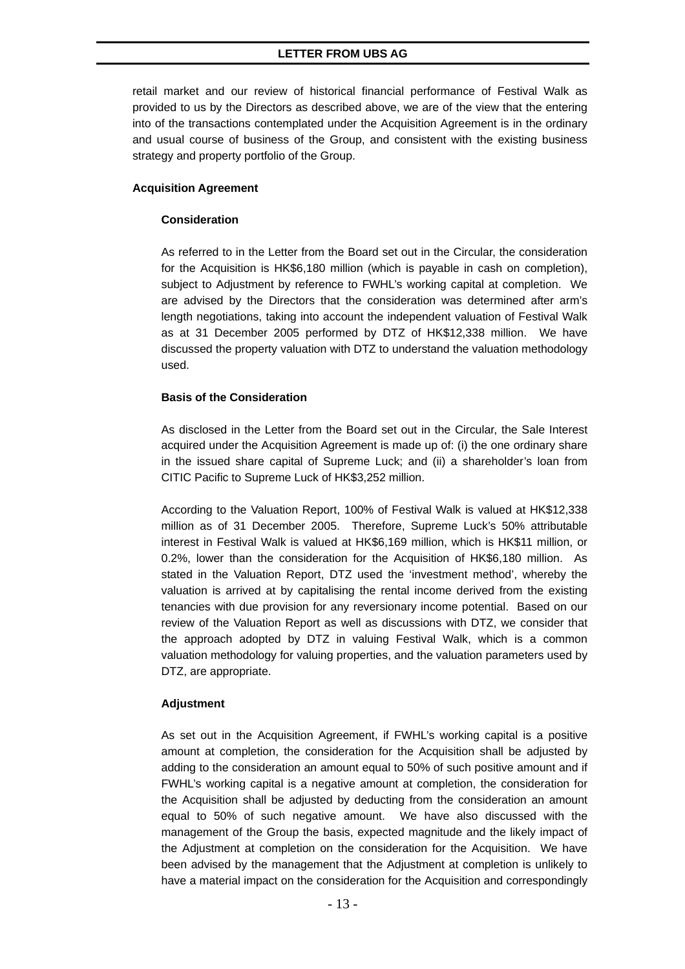retail market and our review of historical financial performance of Festival Walk as provided to us by the Directors as described above, we are of the view that the entering into of the transactions contemplated under the Acquisition Agreement is in the ordinary and usual course of business of the Group, and consistent with the existing business strategy and property portfolio of the Group.

#### **Acquisition Agreement**

#### **Consideration**

As referred to in the Letter from the Board set out in the Circular, the consideration for the Acquisition is HK\$6,180 million (which is payable in cash on completion), subject to Adjustment by reference to FWHL's working capital at completion. We are advised by the Directors that the consideration was determined after arm's length negotiations, taking into account the independent valuation of Festival Walk as at 31 December 2005 performed by DTZ of HK\$12,338 million. We have discussed the property valuation with DTZ to understand the valuation methodology used.

### **Basis of the Consideration**

As disclosed in the Letter from the Board set out in the Circular, the Sale Interest acquired under the Acquisition Agreement is made up of: (i) the one ordinary share in the issued share capital of Supreme Luck; and (ii) a shareholder's loan from CITIC Pacific to Supreme Luck of HK\$3,252 million.

According to the Valuation Report, 100% of Festival Walk is valued at HK\$12,338 million as of 31 December 2005. Therefore, Supreme Luck's 50% attributable interest in Festival Walk is valued at HK\$6,169 million, which is HK\$11 million, or 0.2%, lower than the consideration for the Acquisition of HK\$6,180 million. As stated in the Valuation Report, DTZ used the 'investment method', whereby the valuation is arrived at by capitalising the rental income derived from the existing tenancies with due provision for any reversionary income potential. Based on our review of the Valuation Report as well as discussions with DTZ, we consider that the approach adopted by DTZ in valuing Festival Walk, which is a common valuation methodology for valuing properties, and the valuation parameters used by DTZ, are appropriate.

### **Adjustment**

As set out in the Acquisition Agreement, if FWHL's working capital is a positive amount at completion, the consideration for the Acquisition shall be adjusted by adding to the consideration an amount equal to 50% of such positive amount and if FWHL's working capital is a negative amount at completion, the consideration for the Acquisition shall be adjusted by deducting from the consideration an amount equal to 50% of such negative amount. We have also discussed with the management of the Group the basis, expected magnitude and the likely impact of the Adjustment at completion on the consideration for the Acquisition. We have been advised by the management that the Adjustment at completion is unlikely to have a material impact on the consideration for the Acquisition and correspondingly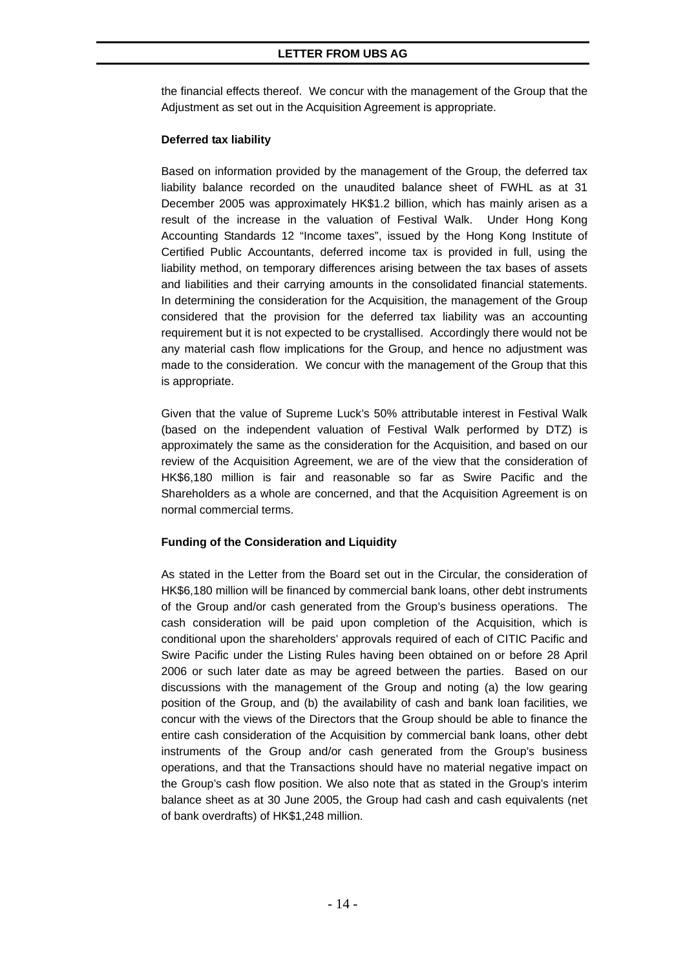#### **LETTER FROM UBS AG**

the financial effects thereof. We concur with the management of the Group that the Adjustment as set out in the Acquisition Agreement is appropriate.

#### **Deferred tax liability**

Based on information provided by the management of the Group, the deferred tax liability balance recorded on the unaudited balance sheet of FWHL as at 31 December 2005 was approximately HK\$1.2 billion, which has mainly arisen as a result of the increase in the valuation of Festival Walk. Under Hong Kong Accounting Standards 12 "Income taxes", issued by the Hong Kong Institute of Certified Public Accountants, deferred income tax is provided in full, using the liability method, on temporary differences arising between the tax bases of assets and liabilities and their carrying amounts in the consolidated financial statements. In determining the consideration for the Acquisition, the management of the Group considered that the provision for the deferred tax liability was an accounting requirement but it is not expected to be crystallised. Accordingly there would not be any material cash flow implications for the Group, and hence no adjustment was made to the consideration. We concur with the management of the Group that this is appropriate.

Given that the value of Supreme Luck's 50% attributable interest in Festival Walk (based on the independent valuation of Festival Walk performed by DTZ) is approximately the same as the consideration for the Acquisition, and based on our review of the Acquisition Agreement, we are of the view that the consideration of HK\$6,180 million is fair and reasonable so far as Swire Pacific and the Shareholders as a whole are concerned, and that the Acquisition Agreement is on normal commercial terms.

### **Funding of the Consideration and Liquidity**

As stated in the Letter from the Board set out in the Circular, the consideration of HK\$6,180 million will be financed by commercial bank loans, other debt instruments of the Group and/or cash generated from the Group's business operations. The cash consideration will be paid upon completion of the Acquisition, which is conditional upon the shareholders' approvals required of each of CITIC Pacific and Swire Pacific under the Listing Rules having been obtained on or before 28 April 2006 or such later date as may be agreed between the parties. Based on our discussions with the management of the Group and noting (a) the low gearing position of the Group, and (b) the availability of cash and bank loan facilities, we concur with the views of the Directors that the Group should be able to finance the entire cash consideration of the Acquisition by commercial bank loans, other debt instruments of the Group and/or cash generated from the Group's business operations, and that the Transactions should have no material negative impact on the Group's cash flow position. We also note that as stated in the Group's interim balance sheet as at 30 June 2005, the Group had cash and cash equivalents (net of bank overdrafts) of HK\$1,248 million.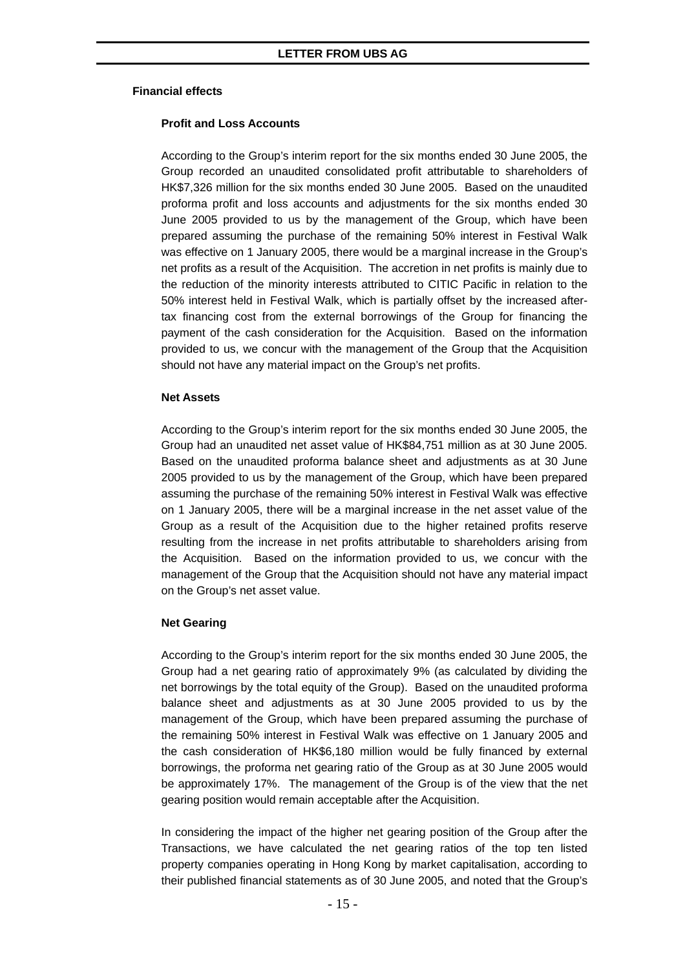#### **Financial effects**

#### **Profit and Loss Accounts**

According to the Group's interim report for the six months ended 30 June 2005, the Group recorded an unaudited consolidated profit attributable to shareholders of HK\$7,326 million for the six months ended 30 June 2005. Based on the unaudited proforma profit and loss accounts and adjustments for the six months ended 30 June 2005 provided to us by the management of the Group, which have been prepared assuming the purchase of the remaining 50% interest in Festival Walk was effective on 1 January 2005, there would be a marginal increase in the Group's net profits as a result of the Acquisition. The accretion in net profits is mainly due to the reduction of the minority interests attributed to CITIC Pacific in relation to the 50% interest held in Festival Walk, which is partially offset by the increased aftertax financing cost from the external borrowings of the Group for financing the payment of the cash consideration for the Acquisition. Based on the information provided to us, we concur with the management of the Group that the Acquisition should not have any material impact on the Group's net profits.

#### **Net Assets**

According to the Group's interim report for the six months ended 30 June 2005, the Group had an unaudited net asset value of HK\$84,751 million as at 30 June 2005. Based on the unaudited proforma balance sheet and adjustments as at 30 June 2005 provided to us by the management of the Group, which have been prepared assuming the purchase of the remaining 50% interest in Festival Walk was effective on 1 January 2005, there will be a marginal increase in the net asset value of the Group as a result of the Acquisition due to the higher retained profits reserve resulting from the increase in net profits attributable to shareholders arising from the Acquisition. Based on the information provided to us, we concur with the management of the Group that the Acquisition should not have any material impact on the Group's net asset value.

#### **Net Gearing**

According to the Group's interim report for the six months ended 30 June 2005, the Group had a net gearing ratio of approximately 9% (as calculated by dividing the net borrowings by the total equity of the Group). Based on the unaudited proforma balance sheet and adjustments as at 30 June 2005 provided to us by the management of the Group, which have been prepared assuming the purchase of the remaining 50% interest in Festival Walk was effective on 1 January 2005 and the cash consideration of HK\$6,180 million would be fully financed by external borrowings, the proforma net gearing ratio of the Group as at 30 June 2005 would be approximately 17%. The management of the Group is of the view that the net gearing position would remain acceptable after the Acquisition.

In considering the impact of the higher net gearing position of the Group after the Transactions, we have calculated the net gearing ratios of the top ten listed property companies operating in Hong Kong by market capitalisation, according to their published financial statements as of 30 June 2005, and noted that the Group's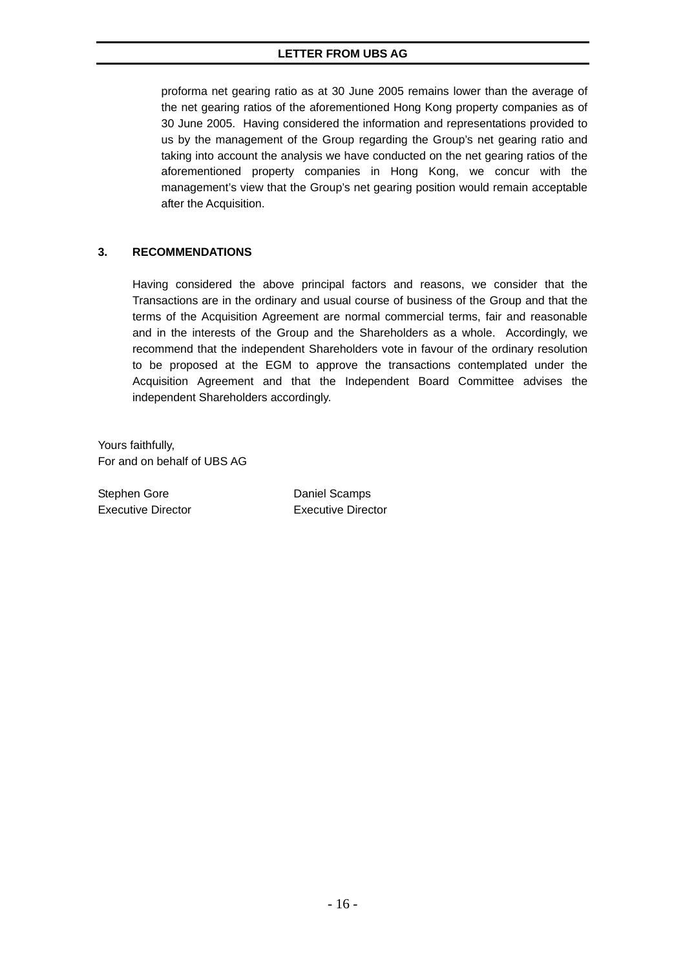### **LETTER FROM UBS AG**

proforma net gearing ratio as at 30 June 2005 remains lower than the average of the net gearing ratios of the aforementioned Hong Kong property companies as of 30 June 2005. Having considered the information and representations provided to us by the management of the Group regarding the Group's net gearing ratio and taking into account the analysis we have conducted on the net gearing ratios of the aforementioned property companies in Hong Kong, we concur with the management's view that the Group's net gearing position would remain acceptable after the Acquisition.

#### **3. RECOMMENDATIONS**

Having considered the above principal factors and reasons, we consider that the Transactions are in the ordinary and usual course of business of the Group and that the terms of the Acquisition Agreement are normal commercial terms, fair and reasonable and in the interests of the Group and the Shareholders as a whole. Accordingly, we recommend that the independent Shareholders vote in favour of the ordinary resolution to be proposed at the EGM to approve the transactions contemplated under the Acquisition Agreement and that the Independent Board Committee advises the independent Shareholders accordingly.

Yours faithfully, For and on behalf of UBS AG

Stephen Gore Daniel Scamps Executive Director Executive Director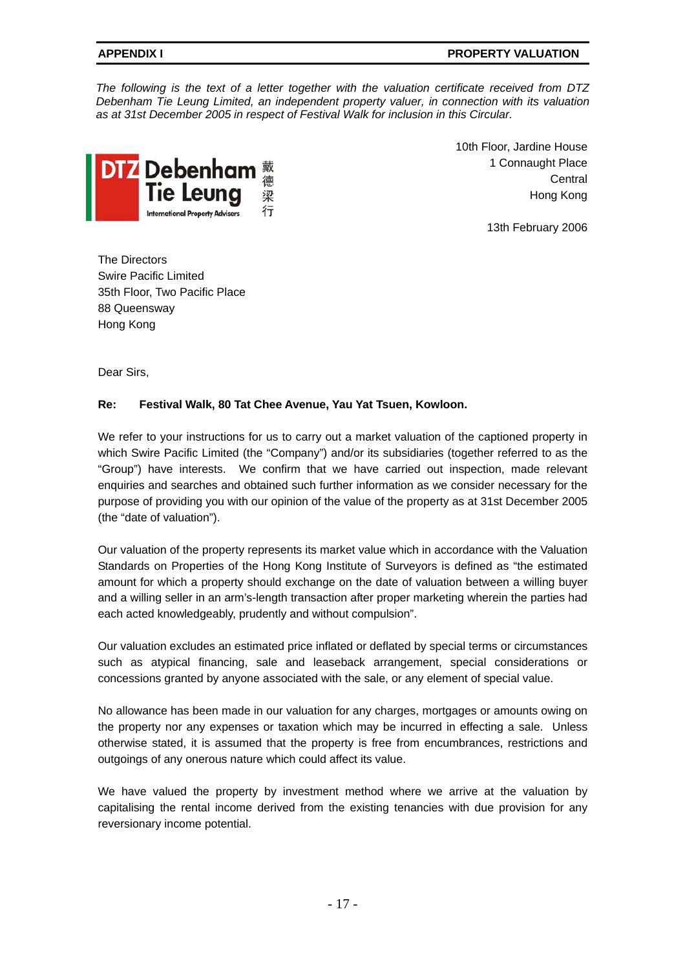#### **APPENDIX I PROPERTY VALUATION**

*The following is the text of a letter together with the valuation certificate received from DTZ Debenham Tie Leung Limited, an independent property valuer, in connection with its valuation as at 31st December 2005 in respect of Festival Walk for inclusion in this Circular.* 



10th Floor, Jardine House 1 Connaught Place **Central** Hong Kong

13th February 2006

The Directors Swire Pacific Limited 35th Floor, Two Pacific Place 88 Queensway Hong Kong

Dear Sirs,

### **Re: Festival Walk, 80 Tat Chee Avenue, Yau Yat Tsuen, Kowloon.**

We refer to your instructions for us to carry out a market valuation of the captioned property in which Swire Pacific Limited (the "Company") and/or its subsidiaries (together referred to as the "Group") have interests. We confirm that we have carried out inspection, made relevant enquiries and searches and obtained such further information as we consider necessary for the purpose of providing you with our opinion of the value of the property as at 31st December 2005 (the "date of valuation").

Our valuation of the property represents its market value which in accordance with the Valuation Standards on Properties of the Hong Kong Institute of Surveyors is defined as "the estimated amount for which a property should exchange on the date of valuation between a willing buyer and a willing seller in an arm's-length transaction after proper marketing wherein the parties had each acted knowledgeably, prudently and without compulsion".

Our valuation excludes an estimated price inflated or deflated by special terms or circumstances such as atypical financing, sale and leaseback arrangement, special considerations or concessions granted by anyone associated with the sale, or any element of special value.

No allowance has been made in our valuation for any charges, mortgages or amounts owing on the property nor any expenses or taxation which may be incurred in effecting a sale. Unless otherwise stated, it is assumed that the property is free from encumbrances, restrictions and outgoings of any onerous nature which could affect its value.

We have valued the property by investment method where we arrive at the valuation by capitalising the rental income derived from the existing tenancies with due provision for any reversionary income potential.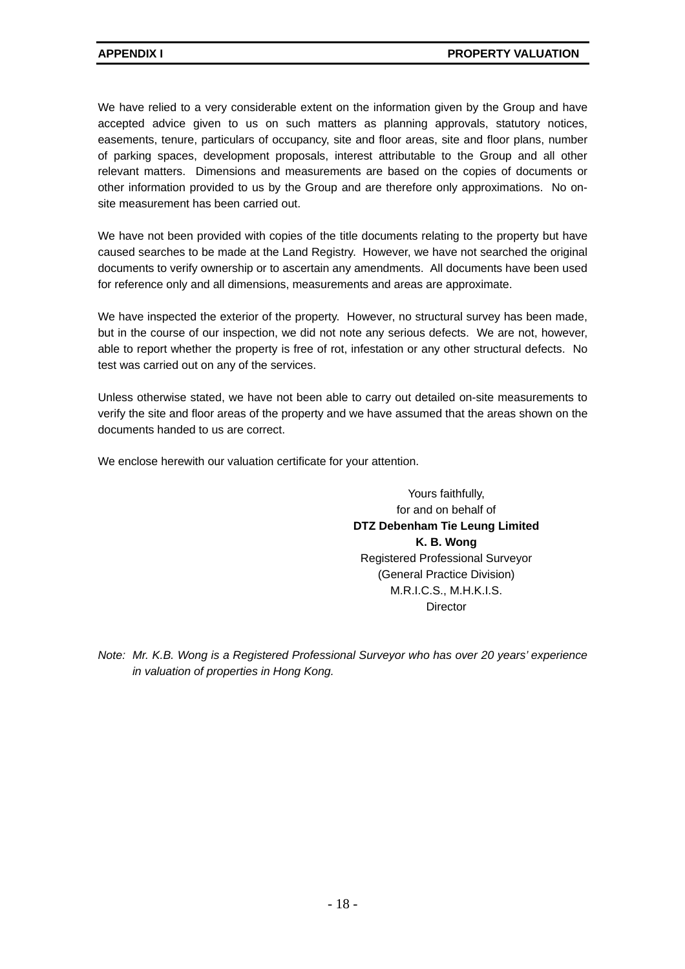We have relied to a very considerable extent on the information given by the Group and have accepted advice given to us on such matters as planning approvals, statutory notices, easements, tenure, particulars of occupancy, site and floor areas, site and floor plans, number of parking spaces, development proposals, interest attributable to the Group and all other relevant matters. Dimensions and measurements are based on the copies of documents or other information provided to us by the Group and are therefore only approximations. No onsite measurement has been carried out.

We have not been provided with copies of the title documents relating to the property but have caused searches to be made at the Land Registry. However, we have not searched the original documents to verify ownership or to ascertain any amendments. All documents have been used for reference only and all dimensions, measurements and areas are approximate.

We have inspected the exterior of the property. However, no structural survey has been made, but in the course of our inspection, we did not note any serious defects. We are not, however, able to report whether the property is free of rot, infestation or any other structural defects. No test was carried out on any of the services.

Unless otherwise stated, we have not been able to carry out detailed on-site measurements to verify the site and floor areas of the property and we have assumed that the areas shown on the documents handed to us are correct.

We enclose herewith our valuation certificate for your attention.

Yours faithfully, for and on behalf of **DTZ Debenham Tie Leung Limited K. B. Wong**  Registered Professional Surveyor (General Practice Division) M.R.I.C.S., M.H.K.I.S. **Director** 

*Note: Mr. K.B. Wong is a Registered Professional Surveyor who has over 20 years' experience in valuation of properties in Hong Kong.*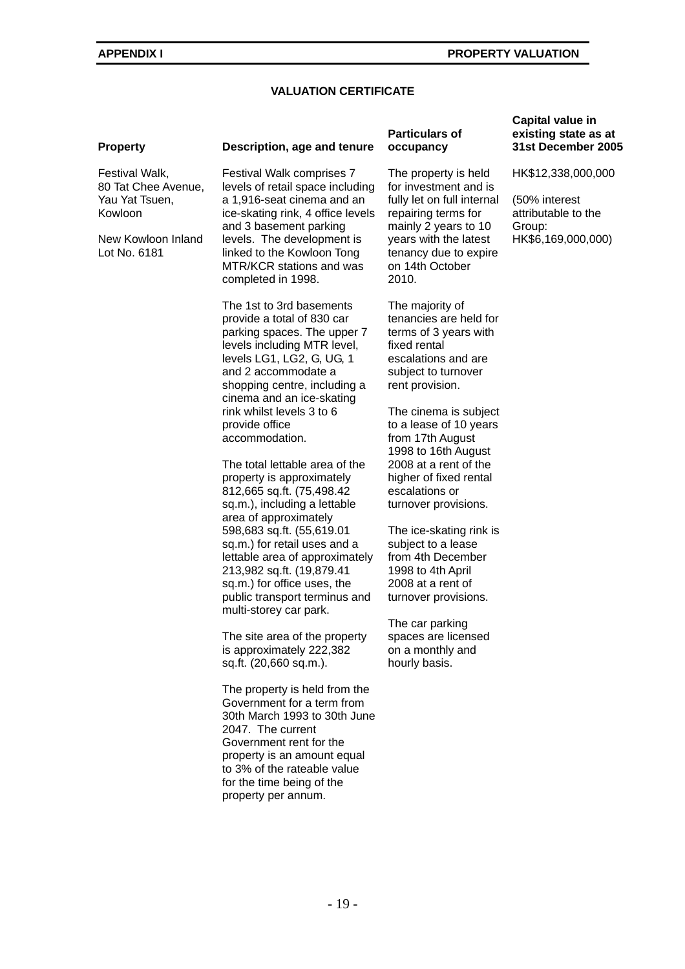#### **VALUATION CERTIFICATE**

Festival Walk, 80 Tat Chee Avenue, Yau Yat Tsuen, Kowloon

New Kowloon Inland Lot No. 6181

#### **Property Description, age and tenure**

Festival Walk comprises 7 levels of retail space including a 1,916-seat cinema and an ice-skating rink, 4 office levels and 3 basement parking levels. The development is linked to the Kowloon Tong MTR/KCR stations and was completed in 1998.

The 1st to 3rd basements provide a total of 830 car parking spaces. The upper 7 levels including MTR level, levels LG1, LG2, G, UG, 1 and 2 accommodate a shopping centre, including a cinema and an ice-skating rink whilst levels 3 to 6 provide office accommodation.

The total lettable area of the property is approximately 812,665 sq.ft. (75,498.42 sq.m.), including a lettable area of approximately 598,683 sq.ft. (55,619.01 sq.m.) for retail uses and a lettable area of approximately 213,982 sq.ft. (19,879.41 sq.m.) for office uses, the public transport terminus and multi-storey car park.

The site area of the property is approximately 222,382 sq.ft. (20,660 sq.m.).

The property is held from the Government for a term from 30th March 1993 to 30th June 2047. The current Government rent for the property is an amount equal to 3% of the rateable value for the time being of the property per annum.

#### **Particulars of occupancy**

The property is held for investment and is fully let on full internal repairing terms for mainly 2 years to 10 years with the latest tenancy due to expire on 14th October 2010.

The majority of tenancies are held for terms of 3 years with fixed rental escalations and are subject to turnover rent provision.

The cinema is subject to a lease of 10 years from 17th August 1998 to 16th August 2008 at a rent of the higher of fixed rental escalations or turnover provisions.

The ice-skating rink is subject to a lease from 4th December 1998 to 4th April 2008 at a rent of turnover provisions.

The car parking spaces are licensed on a monthly and hourly basis.

#### **Capital value in existing state as at 31st December 2005**

HK\$12,338,000,000

(50% interest attributable to the Group: HK\$6,169,000,000)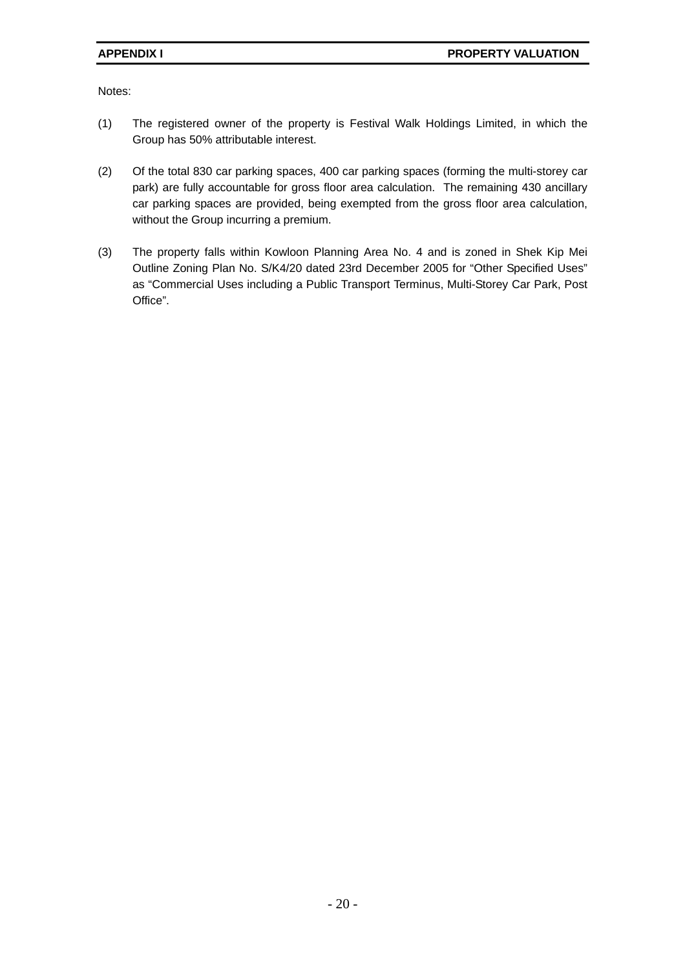Notes:

- (1) The registered owner of the property is Festival Walk Holdings Limited, in which the Group has 50% attributable interest.
- (2) Of the total 830 car parking spaces, 400 car parking spaces (forming the multi-storey car park) are fully accountable for gross floor area calculation. The remaining 430 ancillary car parking spaces are provided, being exempted from the gross floor area calculation, without the Group incurring a premium.
- (3) The property falls within Kowloon Planning Area No. 4 and is zoned in Shek Kip Mei Outline Zoning Plan No. S/K4/20 dated 23rd December 2005 for "Other Specified Uses" as "Commercial Uses including a Public Transport Terminus, Multi-Storey Car Park, Post Office".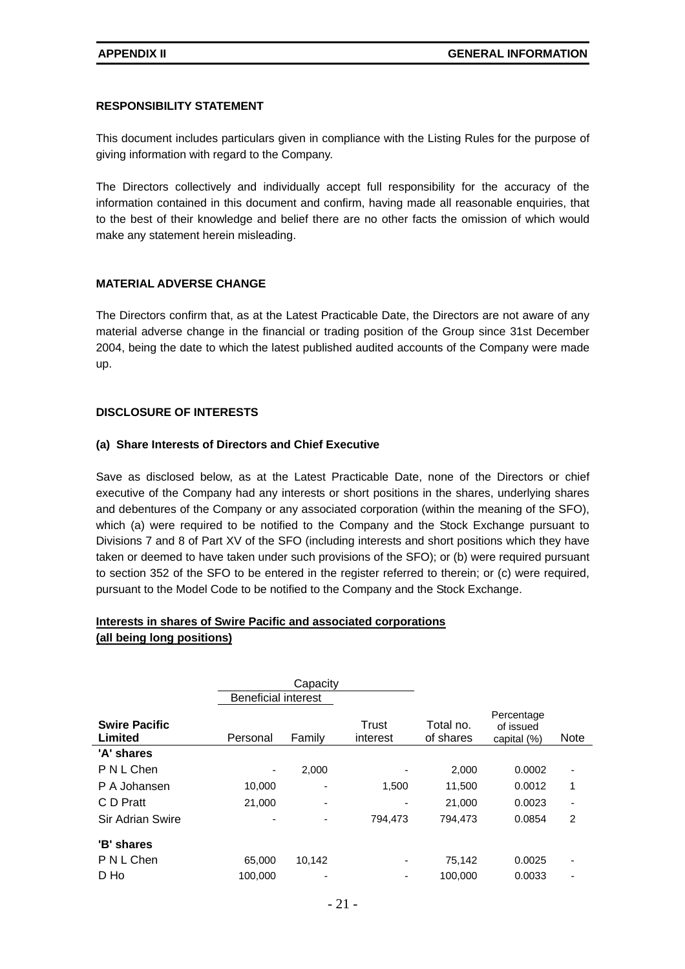#### **RESPONSIBILITY STATEMENT**

This document includes particulars given in compliance with the Listing Rules for the purpose of giving information with regard to the Company.

The Directors collectively and individually accept full responsibility for the accuracy of the information contained in this document and confirm, having made all reasonable enquiries, that to the best of their knowledge and belief there are no other facts the omission of which would make any statement herein misleading.

#### **MATERIAL ADVERSE CHANGE**

The Directors confirm that, as at the Latest Practicable Date, the Directors are not aware of any material adverse change in the financial or trading position of the Group since 31st December 2004, being the date to which the latest published audited accounts of the Company were made up.

#### **DISCLOSURE OF INTERESTS**

#### **(a) Share Interests of Directors and Chief Executive**

Save as disclosed below, as at the Latest Practicable Date, none of the Directors or chief executive of the Company had any interests or short positions in the shares, underlying shares and debentures of the Company or any associated corporation (within the meaning of the SFO), which (a) were required to be notified to the Company and the Stock Exchange pursuant to Divisions 7 and 8 of Part XV of the SFO (including interests and short positions which they have taken or deemed to have taken under such provisions of the SFO); or (b) were required pursuant to section 352 of the SFO to be entered in the register referred to therein; or (c) were required, pursuant to the Model Code to be notified to the Company and the Stock Exchange.

#### **Interests in shares of Swire Pacific and associated corporations (all being long positions)**

|                                 | <b>Beneficial interest</b> | Capacity |                   |                        |                                        |                          |
|---------------------------------|----------------------------|----------|-------------------|------------------------|----------------------------------------|--------------------------|
| <b>Swire Pacific</b><br>Limited | Personal                   | Family   | Trust<br>interest | Total no.<br>of shares | Percentage<br>of issued<br>capital (%) | <b>Note</b>              |
| 'A' shares                      |                            |          |                   |                        |                                        |                          |
| P N L Chen                      |                            | 2,000    | ٠                 | 2,000                  | 0.0002                                 | $\overline{\phantom{a}}$ |
| P A Johansen                    | 10.000                     | ٠        | 1,500             | 11,500                 | 0.0012                                 | 1                        |
| C D Pratt                       | 21,000                     | ۰        | -                 | 21,000                 | 0.0023                                 | $\overline{\phantom{a}}$ |
| Sir Adrian Swire                |                            | -        | 794,473           | 794,473                | 0.0854                                 | 2                        |
| 'B' shares                      |                            |          |                   |                        |                                        |                          |
| P N L Chen                      | 65,000                     | 10,142   | ٠                 | 75,142                 | 0.0025                                 | $\overline{\phantom{a}}$ |
| D Ho                            | 100.000                    |          |                   | 100.000                | 0.0033                                 |                          |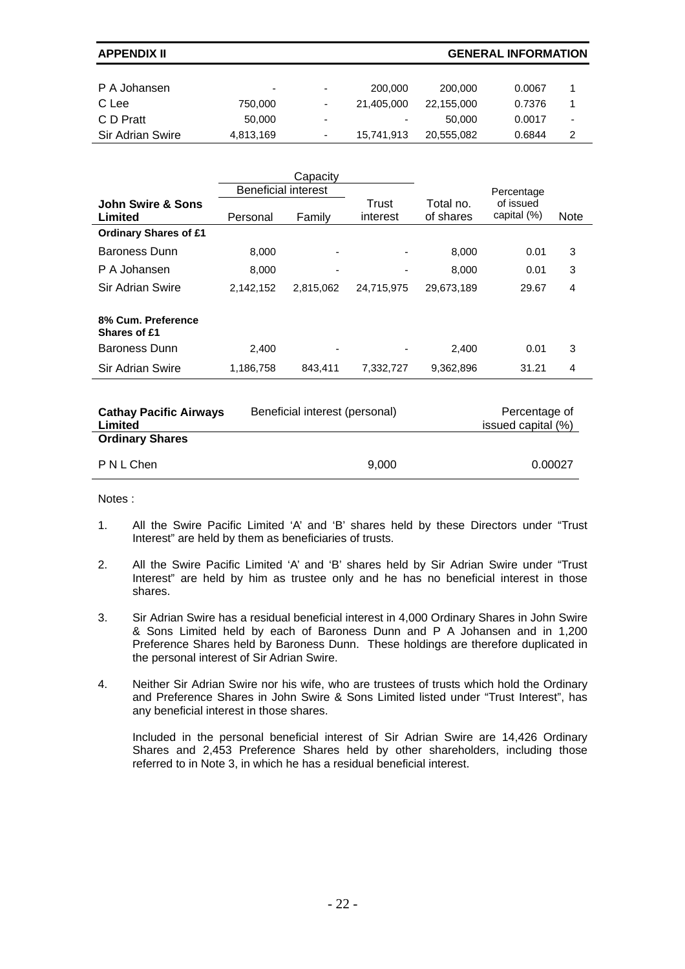**APPENDIX II GENERAL INFORMATION** 

| P A Johansen     | $\overline{\phantom{0}}$ | ٠ | 200.000    | 200,000    | 0.0067 |                          |
|------------------|--------------------------|---|------------|------------|--------|--------------------------|
| C Lee            | 750,000                  | ٠ | 21.405.000 | 22.155.000 | 0.7376 |                          |
| C D Pratt        | 50,000                   | ۰ | $\sim$     | 50,000     | 0.0017 | $\overline{\phantom{a}}$ |
| Sir Adrian Swire | 4,813,169                | ٠ | 15.741.913 | 20.555.082 | 0.6844 | 2                        |

|                                           |                            | Capacity  |                   |                        |                          |             |
|-------------------------------------------|----------------------------|-----------|-------------------|------------------------|--------------------------|-------------|
|                                           | <b>Beneficial interest</b> |           |                   |                        | Percentage               |             |
| John Swire & Sons<br>Limited              | Personal                   | Family    | Trust<br>interest | Total no.<br>of shares | of issued<br>capital (%) | <b>Note</b> |
| <b>Ordinary Shares of £1</b>              |                            |           |                   |                        |                          |             |
| <b>Baroness Dunn</b>                      | 8.000                      | ٠         |                   | 8,000                  | 0.01                     | 3           |
| P A Johansen                              | 8.000                      | -         |                   | 8,000                  | 0.01                     | 3           |
| Sir Adrian Swire                          | 2,142,152                  | 2,815,062 | 24,715,975        | 29,673,189             | 29.67                    | 4           |
| 8% Cum. Preference<br><b>Shares of £1</b> |                            |           |                   |                        |                          |             |
| Baroness Dunn                             | 2,400                      | ٠         |                   | 2,400                  | 0.01                     | 3           |
| <b>Sir Adrian Swire</b>                   | 1,186,758                  | 843,411   | 7,332,727         | 9,362,896              | 31.21                    | 4           |
|                                           |                            |           |                   |                        |                          |             |

| <b>Cathay Pacific Airways</b><br>Limited | Beneficial interest (personal) | Percentage of<br>issued capital (%) |
|------------------------------------------|--------------------------------|-------------------------------------|
| <b>Ordinary Shares</b>                   |                                |                                     |
| PNLChen                                  | 9.000                          | 0.00027                             |

Notes :

- 1. All the Swire Pacific Limited 'A' and 'B' shares held by these Directors under "Trust Interest" are held by them as beneficiaries of trusts.
- 2. All the Swire Pacific Limited 'A' and 'B' shares held by Sir Adrian Swire under "Trust Interest" are held by him as trustee only and he has no beneficial interest in those shares.
- 3. Sir Adrian Swire has a residual beneficial interest in 4,000 Ordinary Shares in John Swire & Sons Limited held by each of Baroness Dunn and P A Johansen and in 1,200 Preference Shares held by Baroness Dunn. These holdings are therefore duplicated in the personal interest of Sir Adrian Swire.
- 4. Neither Sir Adrian Swire nor his wife, who are trustees of trusts which hold the Ordinary and Preference Shares in John Swire & Sons Limited listed under "Trust Interest", has any beneficial interest in those shares.

 Included in the personal beneficial interest of Sir Adrian Swire are 14,426 Ordinary Shares and 2,453 Preference Shares held by other shareholders, including those referred to in Note 3, in which he has a residual beneficial interest.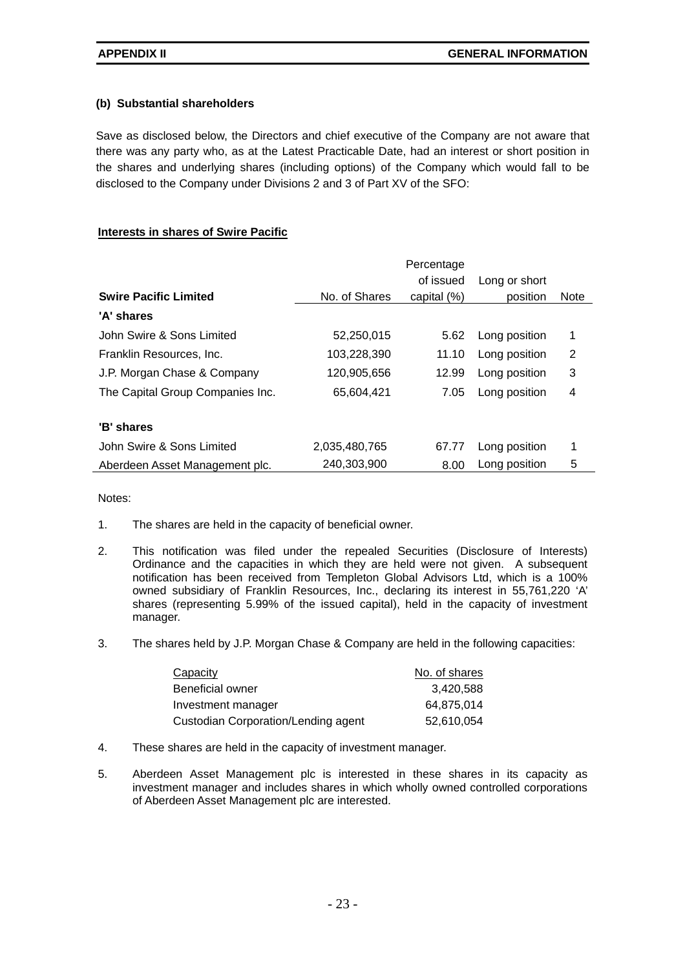### **(b) Substantial shareholders**

Save as disclosed below, the Directors and chief executive of the Company are not aware that there was any party who, as at the Latest Practicable Date, had an interest or short position in the shares and underlying shares (including options) of the Company which would fall to be disclosed to the Company under Divisions 2 and 3 of Part XV of the SFO:

### **Interests in shares of Swire Pacific**

|                                  |               | Percentage  |               |             |
|----------------------------------|---------------|-------------|---------------|-------------|
|                                  |               | of issued   | Long or short |             |
| <b>Swire Pacific Limited</b>     | No. of Shares | capital (%) | position      | <b>Note</b> |
| 'A' shares                       |               |             |               |             |
| John Swire & Sons Limited        | 52,250,015    | 5.62        | Long position | 1           |
| Franklin Resources, Inc.         | 103,228,390   | 11.10       | Long position | 2           |
| J.P. Morgan Chase & Company      | 120,905,656   | 12.99       | Long position | 3           |
| The Capital Group Companies Inc. | 65.604.421    | 7.05        | Long position | 4           |
|                                  |               |             |               |             |
| 'B' shares                       |               |             |               |             |
| John Swire & Sons Limited        | 2,035,480,765 | 67.77       | Long position | 1           |
| Aberdeen Asset Management plc.   | 240,303,900   | 8.00        | Long position | 5           |

Notes:

- 1. The shares are held in the capacity of beneficial owner.
- 2. This notification was filed under the repealed Securities (Disclosure of Interests) Ordinance and the capacities in which they are held were not given. A subsequent notification has been received from Templeton Global Advisors Ltd, which is a 100% owned subsidiary of Franklin Resources, Inc., declaring its interest in 55,761,220 'A' shares (representing 5.99% of the issued capital), held in the capacity of investment manager.
- 3. The shares held by J.P. Morgan Chase & Company are held in the following capacities:

| Capacity                            | No. of shares |
|-------------------------------------|---------------|
| Beneficial owner                    | 3,420,588     |
| Investment manager                  | 64.875.014    |
| Custodian Corporation/Lending agent | 52,610,054    |

- 4. These shares are held in the capacity of investment manager.
- 5. Aberdeen Asset Management plc is interested in these shares in its capacity as investment manager and includes shares in which wholly owned controlled corporations of Aberdeen Asset Management plc are interested.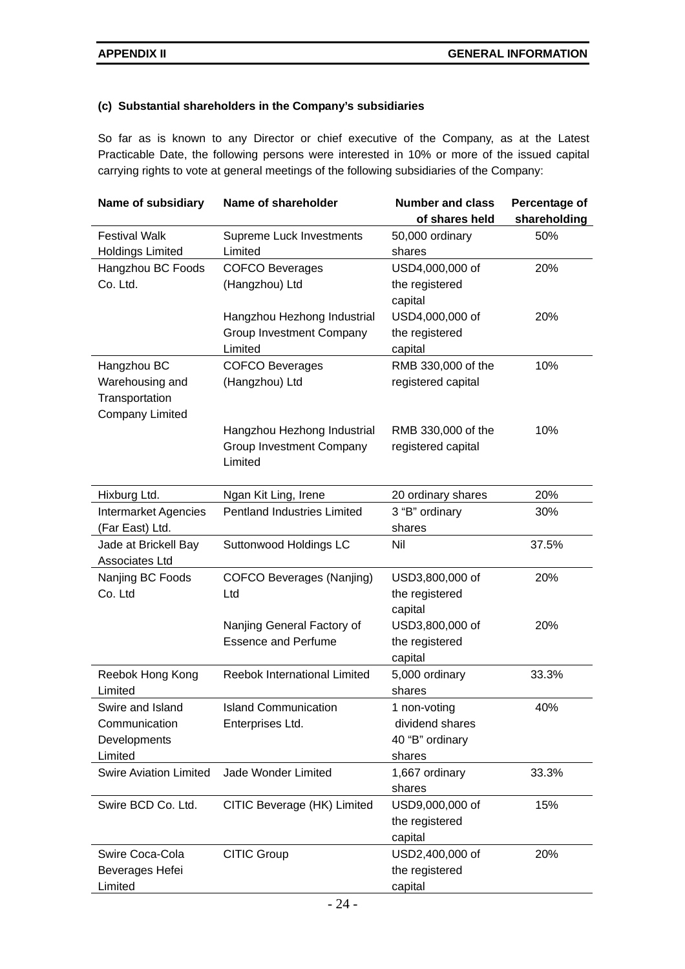#### **(c) Substantial shareholders in the Company's subsidiaries**

So far as is known to any Director or chief executive of the Company, as at the Latest Practicable Date, the following persons were interested in 10% or more of the issued capital carrying rights to vote at general meetings of the following subsidiaries of the Company:

| Name of subsidiary            | Name of shareholder                | <b>Number and class</b> | Percentage of |
|-------------------------------|------------------------------------|-------------------------|---------------|
|                               |                                    | of shares held          | shareholding  |
| <b>Festival Walk</b>          | <b>Supreme Luck Investments</b>    | 50,000 ordinary         | 50%           |
| <b>Holdings Limited</b>       | Limited                            | shares                  |               |
| Hangzhou BC Foods             | <b>COFCO Beverages</b>             | USD4,000,000 of         | 20%           |
| Co. Ltd.                      | (Hangzhou) Ltd                     | the registered          |               |
|                               |                                    | capital                 |               |
|                               | Hangzhou Hezhong Industrial        | USD4,000,000 of         | 20%           |
|                               | <b>Group Investment Company</b>    | the registered          |               |
|                               | Limited                            | capital                 |               |
| Hangzhou BC                   | <b>COFCO Beverages</b>             | RMB 330,000 of the      | 10%           |
| Warehousing and               | (Hangzhou) Ltd                     | registered capital      |               |
| Transportation                |                                    |                         |               |
| Company Limited               |                                    |                         |               |
|                               | Hangzhou Hezhong Industrial        | RMB 330,000 of the      | 10%           |
|                               | Group Investment Company           | registered capital      |               |
|                               | Limited                            |                         |               |
|                               |                                    |                         |               |
| Hixburg Ltd.                  | Ngan Kit Ling, Irene               | 20 ordinary shares      | 20%           |
| <b>Intermarket Agencies</b>   | <b>Pentland Industries Limited</b> | 3 "B" ordinary          | 30%           |
| (Far East) Ltd.               |                                    | shares                  |               |
| Jade at Brickell Bay          | Suttonwood Holdings LC             | Nil                     | 37.5%         |
| Associates Ltd                |                                    |                         |               |
| Nanjing BC Foods              | COFCO Beverages (Nanjing)          | USD3,800,000 of         | 20%           |
| Co. Ltd                       | Ltd                                | the registered          |               |
|                               |                                    | capital                 |               |
|                               | Nanjing General Factory of         | USD3,800,000 of         | 20%           |
|                               | <b>Essence and Perfume</b>         | the registered          |               |
|                               |                                    | capital                 |               |
| Reebok Hong Kong              | Reebok International Limited       | 5,000 ordinary          | 33.3%         |
| Limited                       |                                    | shares                  |               |
| Swire and Island              | <b>Island Communication</b>        | 1 non-votina            | 40%           |
| Communication                 | Enterprises Ltd.                   | dividend shares         |               |
| Developments                  |                                    | 40 "B" ordinary         |               |
| Limited                       |                                    | shares                  |               |
| <b>Swire Aviation Limited</b> | Jade Wonder Limited                | 1,667 ordinary          | 33.3%         |
|                               |                                    | shares                  |               |
| Swire BCD Co. Ltd.            | CITIC Beverage (HK) Limited        | USD9,000,000 of         | 15%           |
|                               |                                    | the registered          |               |
|                               |                                    | capital                 |               |
| Swire Coca-Cola               | <b>CITIC Group</b>                 | USD2,400,000 of         | 20%           |
| Beverages Hefei               |                                    | the registered          |               |
| Limited                       |                                    | capital                 |               |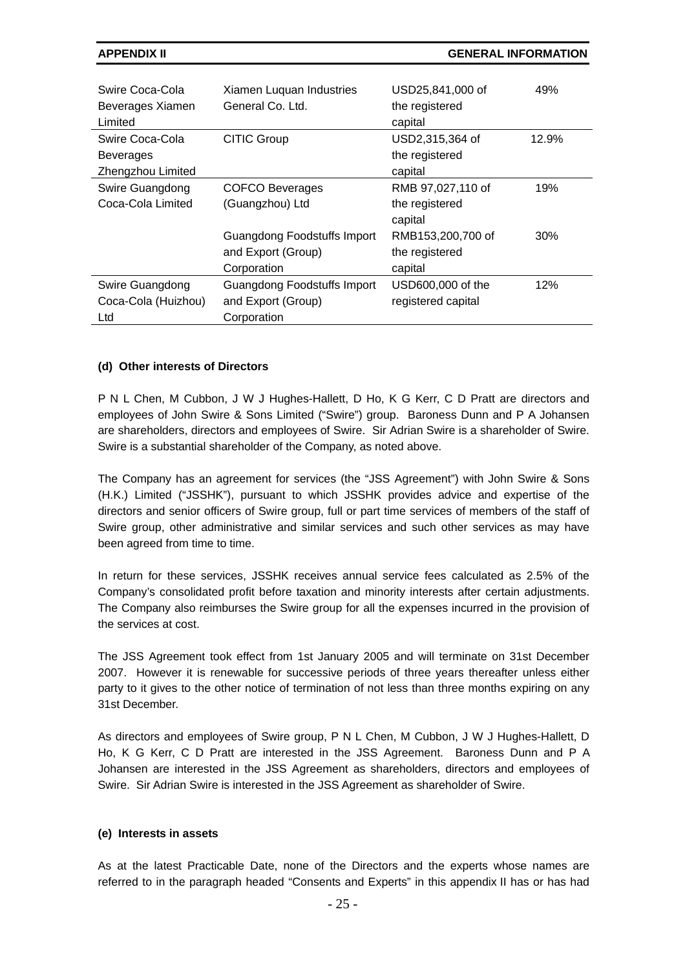**APPENDIX II GENERAL INFORMATION** 

| Swire Coca-Cola<br>Beverages Xiamen<br>Limited | Xiamen Luquan Industries<br>General Co. Ltd. | USD25,841,000 of<br>the registered<br>capital | 49%   |
|------------------------------------------------|----------------------------------------------|-----------------------------------------------|-------|
| Swire Coca-Cola                                | <b>CITIC Group</b>                           | USD2,315,364 of                               | 12.9% |
| <b>Beverages</b>                               |                                              | the registered                                |       |
| Zhengzhou Limited                              |                                              | capital                                       |       |
| Swire Guangdong                                | <b>COFCO Beverages</b>                       | RMB 97,027,110 of                             | 19%   |
| Coca-Cola Limited                              | (Guangzhou) Ltd                              | the registered                                |       |
|                                                |                                              | capital                                       |       |
|                                                | Guangdong Foodstuffs Import                  | RMB153,200,700 of                             | 30%   |
|                                                | and Export (Group)                           | the registered                                |       |
|                                                | Corporation                                  | capital                                       |       |
| Swire Guangdong                                | Guangdong Foodstuffs Import                  | USD600,000 of the                             | 12%   |
| Coca-Cola (Huizhou)                            | and Export (Group)                           | registered capital                            |       |
| Ltd                                            | Corporation                                  |                                               |       |

#### **(d) Other interests of Directors**

P N L Chen, M Cubbon, J W J Hughes-Hallett, D Ho, K G Kerr, C D Pratt are directors and employees of John Swire & Sons Limited ("Swire") group. Baroness Dunn and P A Johansen are shareholders, directors and employees of Swire. Sir Adrian Swire is a shareholder of Swire. Swire is a substantial shareholder of the Company, as noted above.

The Company has an agreement for services (the "JSS Agreement") with John Swire & Sons (H.K.) Limited ("JSSHK"), pursuant to which JSSHK provides advice and expertise of the directors and senior officers of Swire group, full or part time services of members of the staff of Swire group, other administrative and similar services and such other services as may have been agreed from time to time.

In return for these services, JSSHK receives annual service fees calculated as 2.5% of the Company's consolidated profit before taxation and minority interests after certain adjustments. The Company also reimburses the Swire group for all the expenses incurred in the provision of the services at cost.

The JSS Agreement took effect from 1st January 2005 and will terminate on 31st December 2007. However it is renewable for successive periods of three years thereafter unless either party to it gives to the other notice of termination of not less than three months expiring on any 31st December.

As directors and employees of Swire group, P N L Chen, M Cubbon, J W J Hughes-Hallett, D Ho, K G Kerr, C D Pratt are interested in the JSS Agreement. Baroness Dunn and P A Johansen are interested in the JSS Agreement as shareholders, directors and employees of Swire. Sir Adrian Swire is interested in the JSS Agreement as shareholder of Swire.

#### **(e) Interests in assets**

As at the latest Practicable Date, none of the Directors and the experts whose names are referred to in the paragraph headed "Consents and Experts" in this appendix II has or has had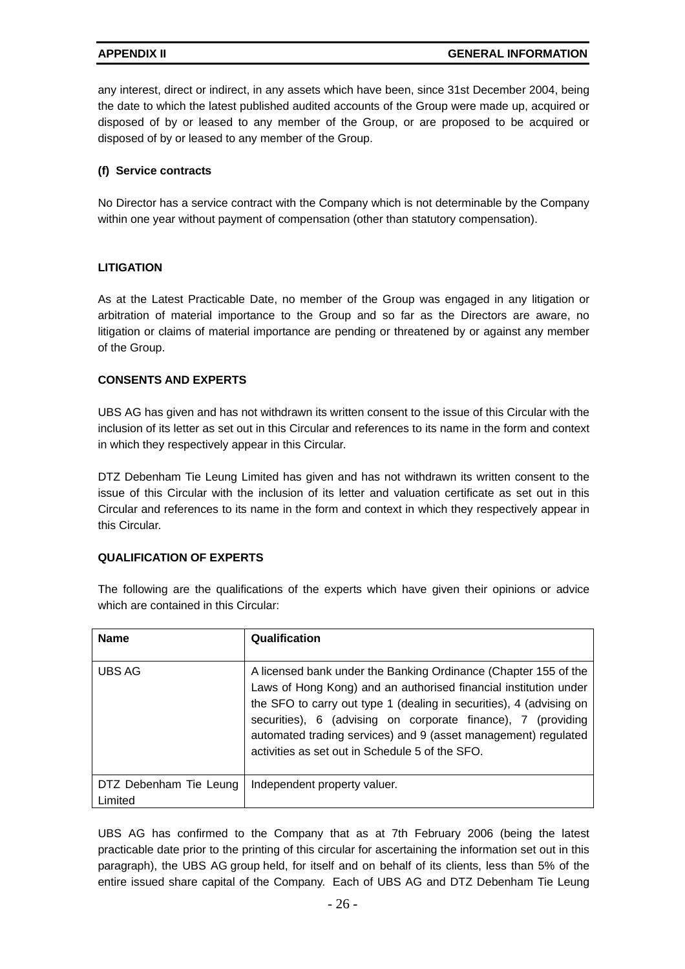any interest, direct or indirect, in any assets which have been, since 31st December 2004, being the date to which the latest published audited accounts of the Group were made up, acquired or disposed of by or leased to any member of the Group, or are proposed to be acquired or disposed of by or leased to any member of the Group.

#### **(f) Service contracts**

No Director has a service contract with the Company which is not determinable by the Company within one year without payment of compensation (other than statutory compensation).

#### **LITIGATION**

As at the Latest Practicable Date, no member of the Group was engaged in any litigation or arbitration of material importance to the Group and so far as the Directors are aware, no litigation or claims of material importance are pending or threatened by or against any member of the Group.

#### **CONSENTS AND EXPERTS**

UBS AG has given and has not withdrawn its written consent to the issue of this Circular with the inclusion of its letter as set out in this Circular and references to its name in the form and context in which they respectively appear in this Circular.

DTZ Debenham Tie Leung Limited has given and has not withdrawn its written consent to the issue of this Circular with the inclusion of its letter and valuation certificate as set out in this Circular and references to its name in the form and context in which they respectively appear in this Circular.

#### **QUALIFICATION OF EXPERTS**

The following are the qualifications of the experts which have given their opinions or advice which are contained in this Circular:

| <b>Name</b>                       | Qualification                                                                                                                                                                                                                                                                                                                                                                                   |
|-----------------------------------|-------------------------------------------------------------------------------------------------------------------------------------------------------------------------------------------------------------------------------------------------------------------------------------------------------------------------------------------------------------------------------------------------|
| UBS AG                            | A licensed bank under the Banking Ordinance (Chapter 155 of the<br>Laws of Hong Kong) and an authorised financial institution under<br>the SFO to carry out type 1 (dealing in securities), 4 (advising on<br>securities), 6 (advising on corporate finance), 7 (providing<br>automated trading services) and 9 (asset management) regulated<br>activities as set out in Schedule 5 of the SFO. |
| DTZ Debenham Tie Leung<br>Limited | Independent property valuer.                                                                                                                                                                                                                                                                                                                                                                    |

UBS AG has confirmed to the Company that as at 7th February 2006 (being the latest practicable date prior to the printing of this circular for ascertaining the information set out in this paragraph), the UBS AG group held, for itself and on behalf of its clients, less than 5% of the entire issued share capital of the Company. Each of UBS AG and DTZ Debenham Tie Leung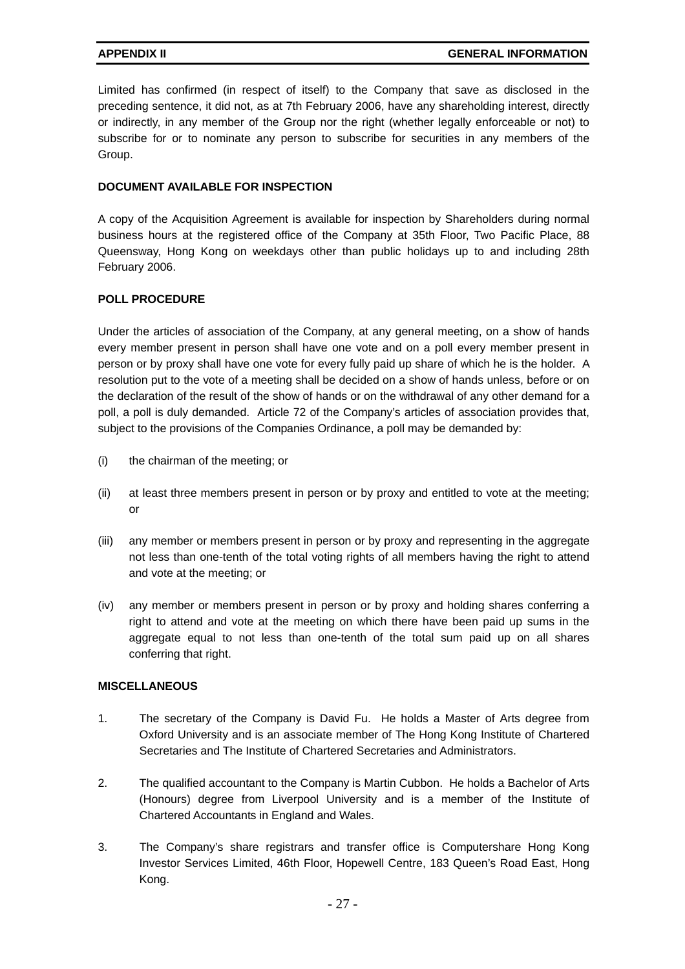Limited has confirmed (in respect of itself) to the Company that save as disclosed in the preceding sentence, it did not, as at 7th February 2006, have any shareholding interest, directly or indirectly, in any member of the Group nor the right (whether legally enforceable or not) to subscribe for or to nominate any person to subscribe for securities in any members of the Group.

#### **DOCUMENT AVAILABLE FOR INSPECTION**

A copy of the Acquisition Agreement is available for inspection by Shareholders during normal business hours at the registered office of the Company at 35th Floor, Two Pacific Place, 88 Queensway, Hong Kong on weekdays other than public holidays up to and including 28th February 2006.

### **POLL PROCEDURE**

Under the articles of association of the Company, at any general meeting, on a show of hands every member present in person shall have one vote and on a poll every member present in person or by proxy shall have one vote for every fully paid up share of which he is the holder. A resolution put to the vote of a meeting shall be decided on a show of hands unless, before or on the declaration of the result of the show of hands or on the withdrawal of any other demand for a poll, a poll is duly demanded. Article 72 of the Company's articles of association provides that, subject to the provisions of the Companies Ordinance, a poll may be demanded by:

- (i) the chairman of the meeting; or
- (ii) at least three members present in person or by proxy and entitled to vote at the meeting; or
- (iii) any member or members present in person or by proxy and representing in the aggregate not less than one-tenth of the total voting rights of all members having the right to attend and vote at the meeting; or
- (iv) any member or members present in person or by proxy and holding shares conferring a right to attend and vote at the meeting on which there have been paid up sums in the aggregate equal to not less than one-tenth of the total sum paid up on all shares conferring that right.

#### **MISCELLANEOUS**

- 1. The secretary of the Company is David Fu. He holds a Master of Arts degree from Oxford University and is an associate member of The Hong Kong Institute of Chartered Secretaries and The Institute of Chartered Secretaries and Administrators.
- 2. The qualified accountant to the Company is Martin Cubbon. He holds a Bachelor of Arts (Honours) degree from Liverpool University and is a member of the Institute of Chartered Accountants in England and Wales.
- 3. The Company's share registrars and transfer office is Computershare Hong Kong Investor Services Limited, 46th Floor, Hopewell Centre, 183 Queen's Road East, Hong Kong.